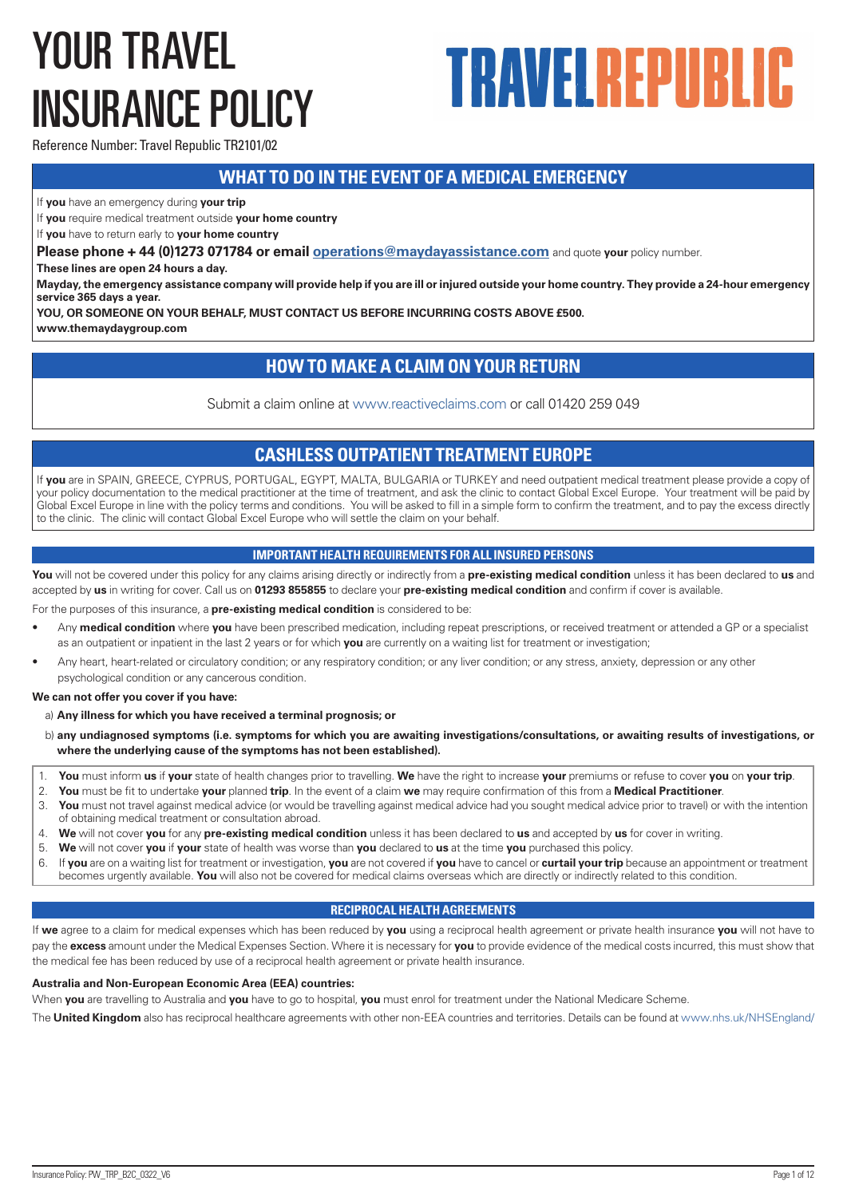# YOUR TRAVEL INSURANCE POLICY

# **TRAVELREPUBLIC**

Reference Number: Travel Republic TR2101/02

# **WHAT TO DO IN THE EVENT OF A MEDICAL EMERGENCY**

If **you** have an emergency during **your trip**

If **you** require medical treatment outside **your home country**

If **you** have to return early to **your home country**

**Please phone + 44 (0)1273 071784 or email operations@maydayassistance.com** and quote **your** policy number.

**These lines are open 24 hours a day.** 

**Mayday, the emergency assistance company will provide help if you are ill or injured outside your home country. They provide a 24-hour emergency service 365 days a year.**

**YOU, OR SOMEONE ON YOUR BEHALF, MUST CONTACT US BEFORE INCURRING COSTS ABOVE £500.**

**www.themaydaygroup.com**

# **HOW TO MAKE A CLAIM ON YOUR RETURN**

Submit a claim online at www.reactiveclaims.com or call 01420 259 049

# **CASHLESS OUTPATIENT TREATMENT EUROPE**

If **you** are in SPAIN, GREECE, CYPRUS, PORTUGAL, EGYPT, MALTA, BULGARIA or TURKEY and need outpatient medical treatment please provide a copy of your policy documentation to the medical practitioner at the time of treatment, and ask the clinic to contact Global Excel Europe. Your treatment will be paid by Global Excel Europe in line with the policy terms and conditions. You will be asked to fill in a simple form to confirm the treatment, and to pay the excess directly to the clinic. The clinic will contact Global Excel Europe who will settle the claim on your behalf.

# **IMPORTANT HEALTH REQUIREMENTS FOR ALL INSURED PERSONS**

**You** will not be covered under this policy for any claims arising directly or indirectly from a **pre-existing medical condition** unless it has been declared to **us** and accepted by **us** in writing for cover. Call us on **01293 855855** to declare your **pre-existing medical condition** and confirm if cover is available.

For the purposes of this insurance, a **pre-existing medical condition** is considered to be:

- Any **medical condition** where **you** have been prescribed medication, including repeat prescriptions, or received treatment or attended a GP or a specialist as an outpatient or inpatient in the last 2 years or for which **you** are currently on a waiting list for treatment or investigation;
- Any heart, heart-related or circulatory condition; or any respiratory condition; or any liver condition; or any stress, anxiety, depression or any other psychological condition or any cancerous condition.

**We can not offer you cover if you have:**

#### a) **Any illness for which you have received a terminal prognosis; or**

- b) **any undiagnosed symptoms (i.e. symptoms for which you are awaiting investigations/consultations, or awaiting results of investigations, or where the underlying cause of the symptoms has not been established).**
- 1. **You** must inform **us** if **your** state of health changes prior to travelling. **We** have the right to increase **your** premiums or refuse to cover **you** on **your trip**.
- 2. **You** must be fit to undertake **your** planned **trip**. In the event of a claim **we** may require confirmation of this from a **Medical Practitioner**.
- You must not travel against medical advice (or would be travelling against medical advice had you sought medical advice prior to travel) or with the intention of obtaining medical treatment or consultation abroad.
- 4. **We** will not cover **you** for any **pre-existing medical condition** unless it has been declared to **us** and accepted by **us** for cover in writing.
- 5. **We** will not cover **you** if **your** state of health was worse than **you** declared to **us** at the time **you** purchased this policy.
- 6. If **you** are on a waiting list for treatment or investigation, **you** are not covered if **you** have to cancel or **curtail your trip** because an appointment or treatment becomes urgently available. **You** will also not be covered for medical claims overseas which are directly or indirectly related to this condition.

# **RECIPROCAL HEALTH AGREEMENTS**

If **we** agree to a claim for medical expenses which has been reduced by **you** using a reciprocal health agreement or private health insurance **you** will not have to pay the **excess** amount under the Medical Expenses Section. Where it is necessary for **you** to provide evidence of the medical costs incurred, this must show that the medical fee has been reduced by use of a reciprocal health agreement or private health insurance.

#### **Australia and Non-European Economic Area (EEA) countries:**

When **you** are travelling to Australia and **you** have to go to hospital, **you** must enrol for treatment under the National Medicare Scheme.

The **United Kingdom** also has reciprocal healthcare agreements with other non-EEA countries and territories. Details can be found at www.nhs.uk/NHSEngland/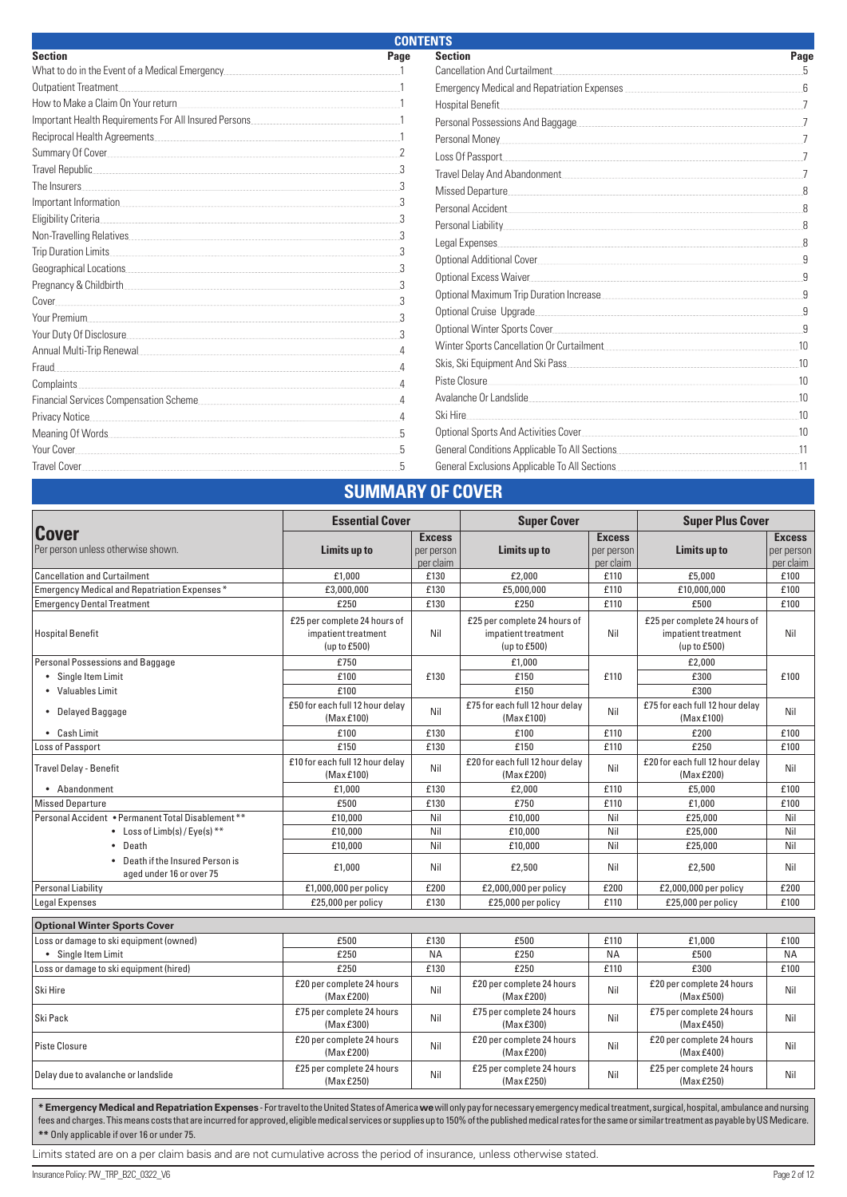| <b>CONTENTS</b>                                                                                                                                                                                                                     |      |                                             |      |  |
|-------------------------------------------------------------------------------------------------------------------------------------------------------------------------------------------------------------------------------------|------|---------------------------------------------|------|--|
| <b>Section</b>                                                                                                                                                                                                                      | Page | <b>Section</b>                              | Page |  |
| What to do in the Event of a Medical Emergency.                                                                                                                                                                                     |      | <b>Cancellation And Curtailment</b>         |      |  |
| Outpatient Treatment                                                                                                                                                                                                                |      | Emergency Medical and Repatriation Expenses |      |  |
| How to Make a Claim On Your return                                                                                                                                                                                                  |      | Hospital Benefit                            |      |  |
|                                                                                                                                                                                                                                     |      |                                             |      |  |
| Reciprocal Health Agreements                                                                                                                                                                                                        |      |                                             |      |  |
|                                                                                                                                                                                                                                     |      | Loss Of Passport                            |      |  |
| Travel Republic                                                                                                                                                                                                                     |      | Travel Delay And Abandonment                |      |  |
| The Insurers                                                                                                                                                                                                                        |      | Missed Departure                            |      |  |
|                                                                                                                                                                                                                                     |      |                                             |      |  |
| Eligibility Criteria                                                                                                                                                                                                                |      |                                             |      |  |
|                                                                                                                                                                                                                                     |      | Legal Expenses                              |      |  |
| Trip Duration Limits                                                                                                                                                                                                                |      | Optional Additional Cover                   |      |  |
| Geographical Locations <b>Example 20</b> Second 20 and 20 and 20 and 20 and 20 and 20 and 20 and 20 and 20 and 20 and 20 and 20 and 20 and 20 and 20 and 20 and 20 and 20 and 20 and 20 and 20 and 20 and 20 and 20 and 20 and 20 a |      | Optional Excess Waiver                      |      |  |
| Pregnancy & Childbirth                                                                                                                                                                                                              |      |                                             |      |  |
| Cover                                                                                                                                                                                                                               |      |                                             |      |  |
| Your Premium                                                                                                                                                                                                                        |      | Optional Cruise Upgrade                     |      |  |
| Your Duty Of Disclosure                                                                                                                                                                                                             |      |                                             |      |  |
| Annual Multi-Trip Renewal                                                                                                                                                                                                           |      | Winter Sports Cancellation Or Curtailment   | .10  |  |
| Fraud                                                                                                                                                                                                                               |      | Skis, Ski Equipment And Ski Pass            | 10   |  |
| Complaints.                                                                                                                                                                                                                         |      | Piste Closure                               | .10  |  |
| Financial Services Compensation Scheme                                                                                                                                                                                              |      | Avalanche Or Landslide                      | .10  |  |
| Privacy Notice                                                                                                                                                                                                                      |      | Ski Hire                                    | 10   |  |
| Meaning Of Words. The Contract of Words and Contract of Words and Contract of Words and Contract of Words and Contract of Texas and Contract of Texas and Contract of Texas and Contract of Texas and Contract of Texas and Co      |      |                                             | 10   |  |
| Your Cover                                                                                                                                                                                                                          |      |                                             |      |  |
| Travel Cover <b>Example 20</b> Section 20 and 20 Section 20 and 20 Section 20 and 20 Section 20 and 20 Section 20 and 20 Section 20 and 20 Section 20 and 20 Section 20 and 20 Section 20 and 20 Section 20 and 20 Section 20 and 2 |      |                                             |      |  |
|                                                                                                                                                                                                                                     |      | <b>SUMMARY OF COVER</b>                     |      |  |

|                                                              | <b>Essential Cover</b>                                              |                                          | <b>Super Cover</b>                                                  |                                          | <b>Super Plus Cover</b>                                             |                                          |
|--------------------------------------------------------------|---------------------------------------------------------------------|------------------------------------------|---------------------------------------------------------------------|------------------------------------------|---------------------------------------------------------------------|------------------------------------------|
| Cover<br>Per person unless otherwise shown.                  | Limits up to                                                        | <b>Excess</b><br>per person<br>per claim | Limits up to                                                        | <b>Excess</b><br>per person<br>per claim | Limits up to                                                        | <b>Excess</b><br>per person<br>per claim |
| <b>Cancellation and Curtailment</b>                          | £1.000                                                              | £130                                     | £2.000                                                              | £110                                     | £5.000                                                              | £100                                     |
| Emergency Medical and Repatriation Expenses*                 | £3,000,000                                                          | £130                                     | £5,000,000                                                          | £110                                     | £10,000,000                                                         | £100                                     |
| <b>Emergency Dental Treatment</b>                            | £250                                                                | £130                                     | £250                                                                | £110                                     | £500                                                                | £100                                     |
| <b>Hospital Benefit</b>                                      | £25 per complete 24 hours of<br>impatient treatment<br>(up to £500) | Nil                                      | £25 per complete 24 hours of<br>impatient treatment<br>(up to £500) | Nil                                      | £25 per complete 24 hours of<br>impatient treatment<br>(up to £500) | Nil                                      |
| Personal Possessions and Baggage                             | £750                                                                |                                          | £1,000                                                              |                                          | £2,000                                                              |                                          |
| • Single Item Limit                                          | £100                                                                | £130                                     | £150                                                                | £110                                     | £300                                                                | £100                                     |
| • Valuables Limit                                            | £100                                                                |                                          | £150                                                                |                                          | £300                                                                |                                          |
| • Delayed Baggage                                            | £50 for each full 12 hour delay<br>(Max £100)                       | Nil                                      | £75 for each full 12 hour delay<br>(Max £100)                       | Nil                                      | £75 for each full 12 hour delay<br>(Max £100)                       | Nil                                      |
| $\bullet$ Cash Limit                                         | £100                                                                | £130                                     | £100                                                                | £110                                     | £200                                                                | £100                                     |
| Loss of Passport                                             | £150                                                                | £130                                     | £150                                                                | £110                                     | £250                                                                | £100                                     |
| <b>Travel Delay - Benefit</b>                                | £10 for each full 12 hour delay<br>(Max £100)                       | Nil                                      | £20 for each full 12 hour delay<br>(Max £200)                       | Nil                                      | £20 for each full 12 hour delay<br>(Max £200)                       | Nil                                      |
| • Abandonment                                                | £1.000                                                              | £130                                     | £2,000                                                              | £110                                     | £5,000                                                              | £100                                     |
| <b>Missed Departure</b>                                      | £500                                                                | £130                                     | £750                                                                | £110                                     | £1,000                                                              | £100                                     |
| Personal Accident • Permanent Total Disablement **           | £10,000                                                             | Nil                                      | £10,000                                                             | Nil                                      | £25,000                                                             | Nil                                      |
| • Loss of Limb(s) / Eye(s) $**$                              | £10.000                                                             | Nil                                      | £10,000                                                             | Nil                                      | £25.000                                                             | Nil                                      |
| • Death                                                      | £10,000                                                             | Nil                                      | £10,000                                                             | Nil                                      | £25,000                                                             | Nil                                      |
| • Death if the Insured Person is<br>aged under 16 or over 75 | £1,000                                                              | Nil                                      | £2,500                                                              | Nil                                      | £2.500                                                              | Nil                                      |
| <b>Personal Liability</b>                                    | $£1,000,000$ per policy                                             | £200                                     | £2,000,000 per policy                                               | £200                                     | £2,000,000 per policy                                               | £200                                     |
| Legal Expenses                                               | £25,000 per policy                                                  | £130                                     | £25,000 per policy                                                  | £110                                     | £25,000 per policy                                                  | £100                                     |
| <b>Optional Winter Sports Cover</b>                          |                                                                     |                                          |                                                                     |                                          |                                                                     |                                          |
| Loss or damage to ski equipment (owned)                      | £500                                                                | £130                                     | £500                                                                | £110                                     | £1.000                                                              | £100                                     |
| • Single Item Limit                                          | £250                                                                | <b>NA</b>                                | £250                                                                | <b>NA</b>                                | £500                                                                | <b>NA</b>                                |
| Loss or damage to ski equipment (hired)                      | £250                                                                | £130                                     | £250                                                                | £110                                     | £300                                                                | £100                                     |
| Ski Hire                                                     | £20 per complete 24 hours<br>(Max £200)                             | Nil                                      | £20 per complete 24 hours<br>(Max £200)                             | Nil                                      | £20 per complete 24 hours<br>(Max £500)                             | Nil                                      |
| l Ski Pack                                                   | £75 per complete 24 hours<br>(Max £300)                             | Nil                                      | £75 per complete 24 hours<br>(Max £300)                             | Nil                                      | £75 per complete 24 hours<br>(Max £450)                             | Nil                                      |
| Piste Closure                                                | £20 per complete 24 hours<br>(Max£200)                              | Nil                                      | £20 per complete 24 hours<br>(Max £200)                             | Nil                                      | £20 per complete 24 hours<br>(Max £400)                             | Nil                                      |
| Delay due to avalanche or landslide                          | £25 per complete 24 hours<br>(Max £250)                             | Nil                                      | £25 per complete 24 hours<br>(Max £250)                             | Nil                                      | £25 per complete 24 hours<br>(MaxE250)                              | Nil                                      |

**\* Emergency Medical and Repatriation Expenses** - For travel to the United States of America **we** will only pay for necessary emergency medical treatment, surgical, hospital, ambulance and nursing fees and charges. This means costs that are incurred for approved, eligible medical services or supplies up to 150% of the published medical rates for the same or similar treatment as payable by US Medicare. **\*\*** Only applicable if over 16 or under 75.

Limits stated are on a per claim basis and are not cumulative across the period of insurance, unless otherwise stated.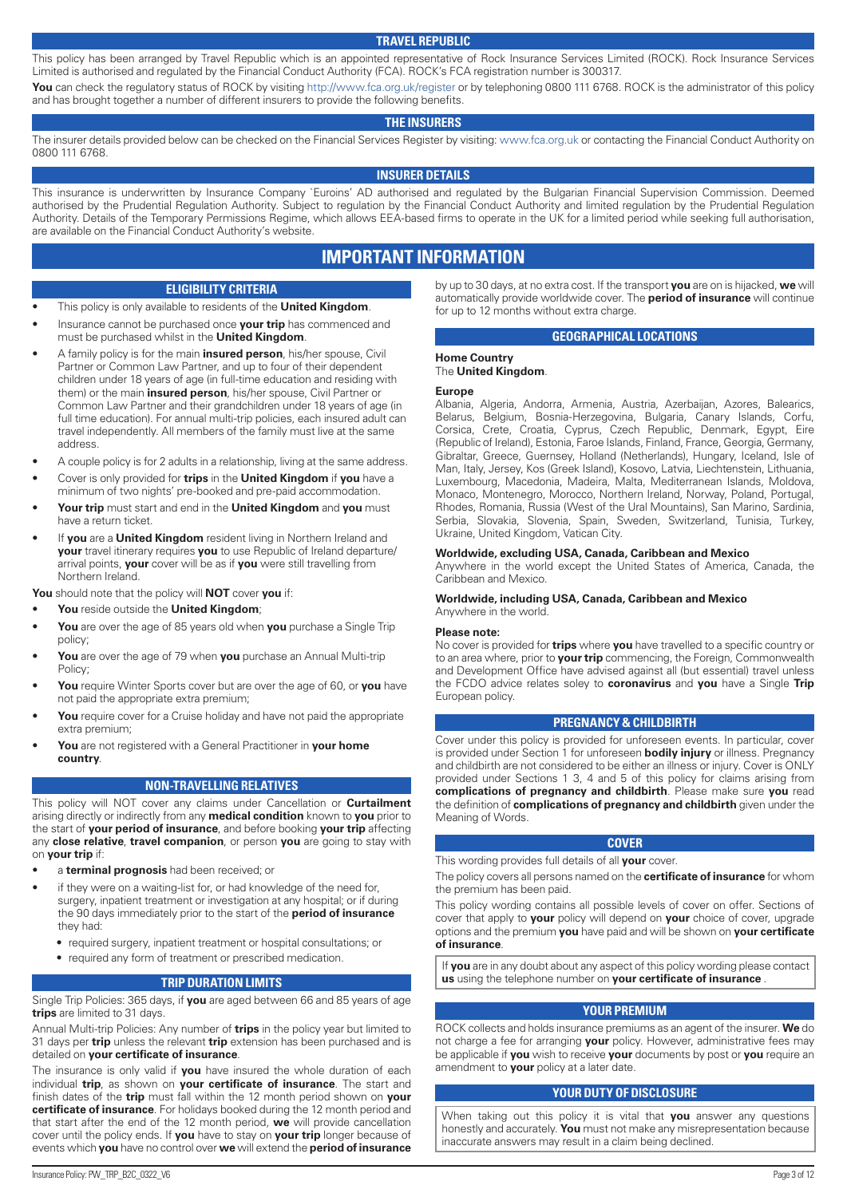#### **TRAVEL REPUBLIC**

This policy has been arranged by Travel Republic which is an appointed representative of Rock Insurance Services Limited (ROCK). Rock Insurance Services Limited is authorised and regulated by the Financial Conduct Authority (FCA). ROCK's FCA registration number is 300317. You can check the regulatory status of ROCK by visiting http://www.fca.org.uk/register or by telephoning 0800 111 6768. ROCK is the administrator of this policy

and has brought together a number of different insurers to provide the following benefits.

#### **THE INSURERS**

The insurer details provided below can be checked on the Financial Services Register by visiting: www.fca.org.uk or contacting the Financial Conduct Authority on 0800 111 6768.

#### **INSURER DETAILS**

This insurance is underwritten by Insurance Company `Euroins' AD authorised and regulated by the Bulgarian Financial Supervision Commission. Deemed authorised by the Prudential Regulation Authority. Subject to regulation by the Financial Conduct Authority and limited regulation by the Prudential Regulation Authority. Details of the Temporary Permissions Regime, which allows EEA-based firms to operate in the UK for a limited period while seeking full authorisation, are available on the Financial Conduct Authority's website.

# **IMPORTANT INFORMATION**

#### **ELIGIBILITY CRITERIA**

- This policy is only available to residents of the **United Kingdom**.
- Insurance cannot be purchased once **your trip** has commenced and must be purchased whilst in the **United Kingdom**.
- A family policy is for the main **insured person**, his/her spouse, Civil Partner or Common Law Partner, and up to four of their dependent children under 18 years of age (in full-time education and residing with them) or the main **insured person**, his/her spouse, Civil Partner or Common Law Partner and their grandchildren under 18 years of age (in full time education). For annual multi-trip policies, each insured adult can travel independently. All members of the family must live at the same address.
- A couple policy is for 2 adults in a relationship, living at the same address.
- Cover is only provided for **trips** in the **United Kingdom** if **you** have a minimum of two nights' pre-booked and pre-paid accommodation.
- **Your trip** must start and end in the **United Kingdom** and **you** must have a return ticket.
- If **you** are a **United Kingdom** resident living in Northern Ireland and **your** travel itinerary requires **you** to use Republic of Ireland departure/ arrival points, **your** cover will be as if **you** were still travelling from Northern Ireland.

**You** should note that the policy will **NOT** cover **you** if:

- **You** reside outside the **United Kingdom**;
- **You** are over the age of 85 years old when **you** purchase a Single Trip policy;
- **You** are over the age of 79 when **you** purchase an Annual Multi-trip Policy;
- **You** require Winter Sports cover but are over the age of 60, or **you** have not paid the appropriate extra premium;
- You require cover for a Cruise holiday and have not paid the appropriate extra premium;
- **You** are not registered with a General Practitioner in **your home country**.

#### **NON-TRAVELLING RELATIVES**

This policy will NOT cover any claims under Cancellation or **Curtailment** arising directly or indirectly from any **medical condition** known to **you** prior to the start of **your period of insurance**, and before booking **your trip** affecting any **close relative**, **travel companion**, or person **you** are going to stay with on **your trip** if:

- a **terminal prognosis** had been received; or
- if they were on a waiting-list for, or had knowledge of the need for, surgery, inpatient treatment or investigation at any hospital; or if during the 90 days immediately prior to the start of the **period of insurance** they had:
	- required surgery, inpatient treatment or hospital consultations; or
	- required any form of treatment or prescribed medication.

#### **TRIP DURATION LIMITS**

Single Trip Policies: 365 days, if **you** are aged between 66 and 85 years of age **trips** are limited to 31 days.

Annual Multi-trip Policies: Any number of **trips** in the policy year but limited to 31 days per **trip** unless the relevant **trip** extension has been purchased and is detailed on **your certificate of insurance**.

The insurance is only valid if **you** have insured the whole duration of each individual **trip**, as shown on **your certificate of insurance**. The start and finish dates of the **trip** must fall within the 12 month period shown on **your certificate of insurance**. For holidays booked during the 12 month period and that start after the end of the 12 month period, **we** will provide cancellation cover until the policy ends. If **you** have to stay on **your trip** longer because of events which **you** have no control over **we** will extend the **period of insurance**

by up to 30 days, at no extra cost. If the transport **you** are on is hijacked, **we** will automatically provide worldwide cover. The **period of insurance** will continue for up to 12 months without extra charge.

#### **GEOGRAPHICAL LOCATIONS**

#### **Home Country** The **United Kingdom**.

#### **Europe**

Albania, Algeria, Andorra, Armenia, Austria, Azerbaijan, Azores, Balearics, Belarus, Belgium, Bosnia-Herzegovina, Bulgaria, Canary Islands, Corfu, Corsica, Crete, Croatia, Cyprus, Czech Republic, Denmark, Egypt, Eire (Republic of Ireland), Estonia, Faroe Islands, Finland, France, Georgia, Germany, Gibraltar, Greece, Guernsey, Holland (Netherlands), Hungary, Iceland, Isle of Man, Italy, Jersey, Kos (Greek Island), Kosovo, Latvia, Liechtenstein, Lithuania, Luxembourg, Macedonia, Madeira, Malta, Mediterranean Islands, Moldova, Monaco, Montenegro, Morocco, Northern Ireland, Norway, Poland, Portugal, Rhodes, Romania, Russia (West of the Ural Mountains), San Marino, Sardinia, Serbia, Slovakia, Slovenia, Spain, Sweden, Switzerland, Tunisia, Turkey, Ukraine, United Kingdom, Vatican City.

#### **Worldwide, excluding USA, Canada, Caribbean and Mexico**

Anywhere in the world except the United States of America, Canada, the Caribbean and Mexico.

#### **Worldwide, including USA, Canada, Caribbean and Mexico** Anywhere in the world.

#### **Please note:**

No cover is provided for **trips** where **you** have travelled to a specific country or to an area where, prior to **your trip** commencing, the Foreign, Commonwealth and Development Office have advised against all (but essential) travel unless the FCDO advice relates soley to **coronavirus** and **you** have a Single **Trip** European policy.

#### **PREGNANCY & CHILDBIRTH**

Cover under this policy is provided for unforeseen events. In particular, cover is provided under Section 1 for unforeseen **bodily injury** or illness. Pregnancy and childbirth are not considered to be either an illness or injury. Cover is ONLY provided under Sections 1 3, 4 and 5 of this policy for claims arising from **complications of pregnancy and childbirth**. Please make sure **you** read the definition of **complications of pregnancy and childbirth** given under the Meaning of Words.

#### **COVER**

This wording provides full details of all **your** cover.

The policy covers all persons named on the **certificate of insurance** for whom the premium has been paid.

This policy wording contains all possible levels of cover on offer. Sections of cover that apply to **your** policy will depend on **your** choice of cover, upgrade options and the premium **you** have paid and will be shown on **your certificate of insurance**.

If **you** are in any doubt about any aspect of this policy wording please contact **us** using the telephone number on **your certificate of insurance** .

#### **YOUR PREMIUM**

ROCK collects and holds insurance premiums as an agent of the insurer. **We** do not charge a fee for arranging **your** policy. However, administrative fees may be applicable if **you** wish to receive **your** documents by post or **you** require an amendment to **your** policy at a later date.

#### **YOUR DUTY OF DISCLOSURE**

When taking out this policy it is vital that **you** answer any questions honestly and accurately. **You** must not make any misrepresentation because inaccurate answers may result in a claim being declined.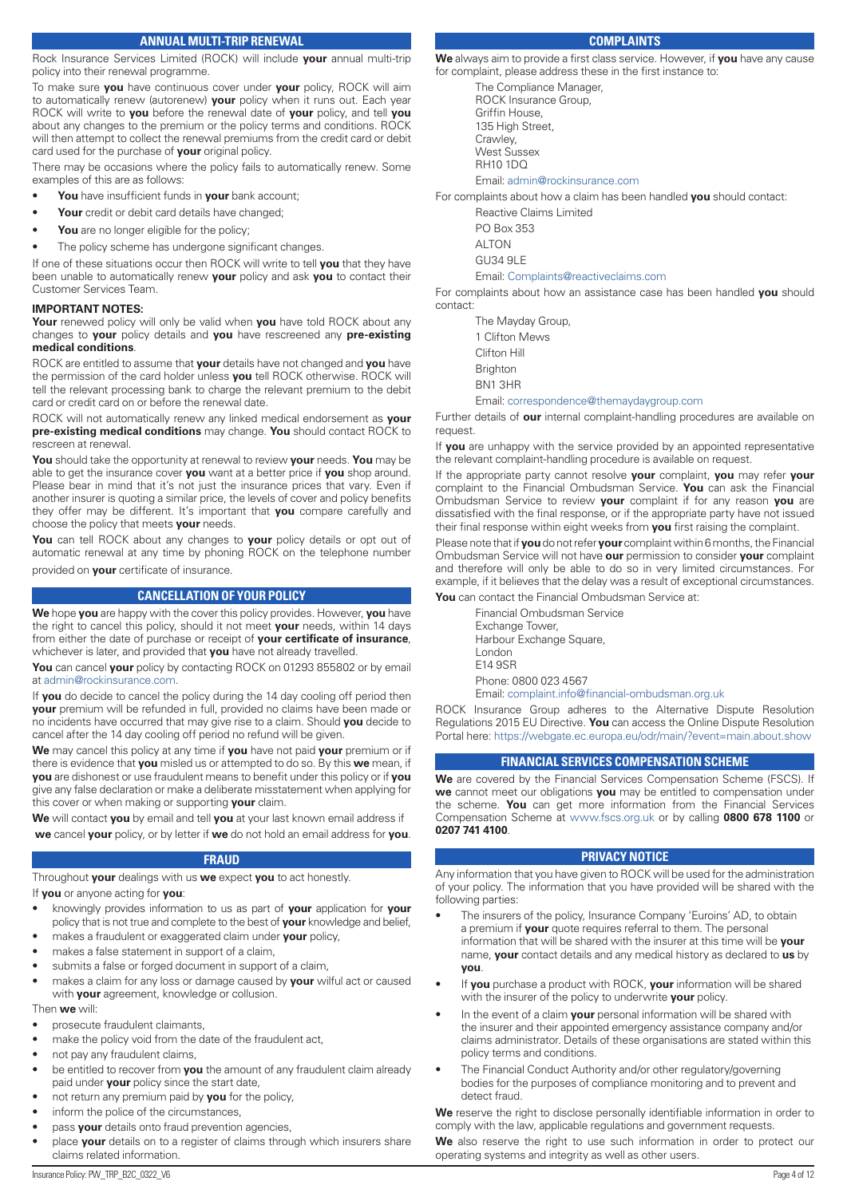### **ANNUAL MULTI-TRIP RENEWAL**

Rock Insurance Services Limited (ROCK) will include **your** annual multi-trip policy into their renewal programme.

To make sure **you** have continuous cover under **your** policy, ROCK will aim to automatically renew (autorenew) **your** policy when it runs out. Each year ROCK will write to **you** before the renewal date of **your** policy, and tell **you** about any changes to the premium or the policy terms and conditions. ROCK will then attempt to collect the renewal premiums from the credit card or debit card used for the purchase of **your** original policy.

There may be occasions where the policy fails to automatically renew. Some examples of this are as follows:

- **You** have insufficient funds in **your** bank account;
- Your credit or debit card details have changed;
- You are no longer eligible for the policy;
- The policy scheme has undergone significant changes.

If one of these situations occur then ROCK will write to tell **you** that they have been unable to automatically renew **your** policy and ask **you** to contact their Customer Services Team.

#### **IMPORTANT NOTES:**

**Your** renewed policy will only be valid when **you** have told ROCK about any changes to **your** policy details and **you** have rescreened any **pre-existing medical conditions**.

ROCK are entitled to assume that **your** details have not changed and **you** have the permission of the card holder unless **you** tell ROCK otherwise. ROCK will tell the relevant processing bank to charge the relevant premium to the debit card or credit card on or before the renewal date.

ROCK will not automatically renew any linked medical endorsement as **your pre-existing medical conditions** may change. **You** should contact ROCK to rescreen at renewal.

**You** should take the opportunity at renewal to review **your** needs. **You** may be able to get the insurance cover **you** want at a better price if **you** shop around. Please bear in mind that it's not just the insurance prices that vary. Even if another insurer is quoting a similar price, the levels of cover and policy benefits they offer may be different. It's important that **you** compare carefully and choose the policy that meets **your** needs.

**You** can tell ROCK about any changes to **your** policy details or opt out of automatic renewal at any time by phoning ROCK on the telephone number

provided on **your** certificate of insurance.

#### **CANCELLATION OF YOUR POLICY**

**We** hope **you** are happy with the cover this policy provides. However, **you** have the right to cancel this policy, should it not meet **your** needs, within 14 days from either the date of purchase or receipt of **your certificate of insurance**, whichever is later, and provided that **you** have not already travelled.

**You** can cancel **your** policy by contacting ROCK on 01293 855802 or by email at admin@rockinsurance.com.

If **you** do decide to cancel the policy during the 14 day cooling off period then **your** premium will be refunded in full, provided no claims have been made or no incidents have occurred that may give rise to a claim. Should **you** decide to cancel after the 14 day cooling off period no refund will be given.

**We** may cancel this policy at any time if **you** have not paid **your** premium or if there is evidence that **you** misled us or attempted to do so. By this **we** mean, if **you** are dishonest or use fraudulent means to benefit under this policy or if **you** give any false declaration or make a deliberate misstatement when applying for this cover or when making or supporting **your** claim.

**We** will contact **you** by email and tell **you** at your last known email address if **we** cancel **your** policy, or by letter if **we** do not hold an email address for **you**.

#### **FRAUD**

Throughout **your** dealings with us **we** expect **you** to act honestly.

If **you** or anyone acting for **you**:

- knowingly provides information to us as part of **your** application for **your** policy that is not true and complete to the best of **your** knowledge and belief,
- makes a fraudulent or exaggerated claim under **your** policy,
- makes a false statement in support of a claim,
- submits a false or forged document in support of a claim.
- makes a claim for any loss or damage caused by **your** wilful act or caused with **your** agreement, knowledge or collusion.

#### Then **we** will:

- prosecute fraudulent claimants,
- make the policy void from the date of the fraudulent act,
- not pay any fraudulent claims,
- be entitled to recover from **you** the amount of any fraudulent claim already paid under **your** policy since the start date,
- not return any premium paid by **you** for the policy,
- inform the police of the circumstances,
- pass **your** details onto fraud prevention agencies,
- place **your** details on to a register of claims through which insurers share claims related information.

#### **COMPLAINTS**

**We** always aim to provide a first class service. However, if **you** have any cause for complaint, please address these in the first instance to:

The Compliance Manager, ROCK Insurance Group, Griffin House, 135 High Street, Crawley, West Sussex RH10 1DQ Email: admin@rockinsurance.com

For complaints about how a claim has been handled **you** should contact:

Reactive Claims Limited

PO Box 353 ALTON GU34 9LE

Email: Complaints@reactiveclaims.com

For complaints about how an assistance case has been handled **you** should contact:

> The Mayday Group, 1 Clifton Mews Clifton Hill **Brighton** BN1 3HR Email: correspondence@themaydaygroup.com

Further details of **our** internal complaint-handling procedures are available on request

If **you** are unhappy with the service provided by an appointed representative the relevant complaint-handling procedure is available on request.

If the appropriate party cannot resolve **your** complaint, **you** may refer **your** complaint to the Financial Ombudsman Service. **You** can ask the Financial Ombudsman Service to review **your** complaint if for any reason **you** are dissatisfied with the final response, or if the appropriate party have not issued their final response within eight weeks from **you** first raising the complaint.

Please note that if **you** do not refer **your** complaint within 6 months, the Financial Ombudsman Service will not have **our** permission to consider **your** complaint and therefore will only be able to do so in very limited circumstances. For example, if it believes that the delay was a result of exceptional circumstances. **You** can contact the Financial Ombudsman Service at:

Financial Ombudsman Service Exchange Tower, Harbour Exchange Square, London E14 9SR Phone: 0800 023 4567 Email: complaint.info@financial-ombudsman.org.uk

ROCK Insurance Group adheres to the Alternative Dispute Resolution Regulations 2015 EU Directive. **You** can access the Online Dispute Resolution Portal here: https://webgate.ec.europa.eu/odr/main/?event=main.about.show

#### **FINANCIAL SERVICES COMPENSATION SCHEME**

**We** are covered by the Financial Services Compensation Scheme (FSCS). If **we** cannot meet our obligations **you** may be entitled to compensation under the scheme. **You** can get more information from the Financial Services Compensation Scheme at www.fscs.org.uk or by calling **0800 678 1100** or **0207 741 4100**.

#### **PRIVACY NOTICE**

Any information that you have given to ROCK will be used for the administration of your policy. The information that you have provided will be shared with the following parties:

- The insurers of the policy, Insurance Company 'Euroins' AD, to obtain a premium if **your** quote requires referral to them. The personal information that will be shared with the insurer at this time will be **your** name, **your** contact details and any medical history as declared to **us** by **you**.
- If **you** purchase a product with ROCK, **your** information will be shared with the insurer of the policy to underwrite **your** policy.
- In the event of a claim **your** personal information will be shared with the insurer and their appointed emergency assistance company and/or claims administrator. Details of these organisations are stated within this policy terms and conditions.
- The Financial Conduct Authority and/or other regulatory/governing bodies for the purposes of compliance monitoring and to prevent and detect fraud.

**We** reserve the right to disclose personally identifiable information in order to comply with the law, applicable regulations and government requests.

**We** also reserve the right to use such information in order to protect our operating systems and integrity as well as other users.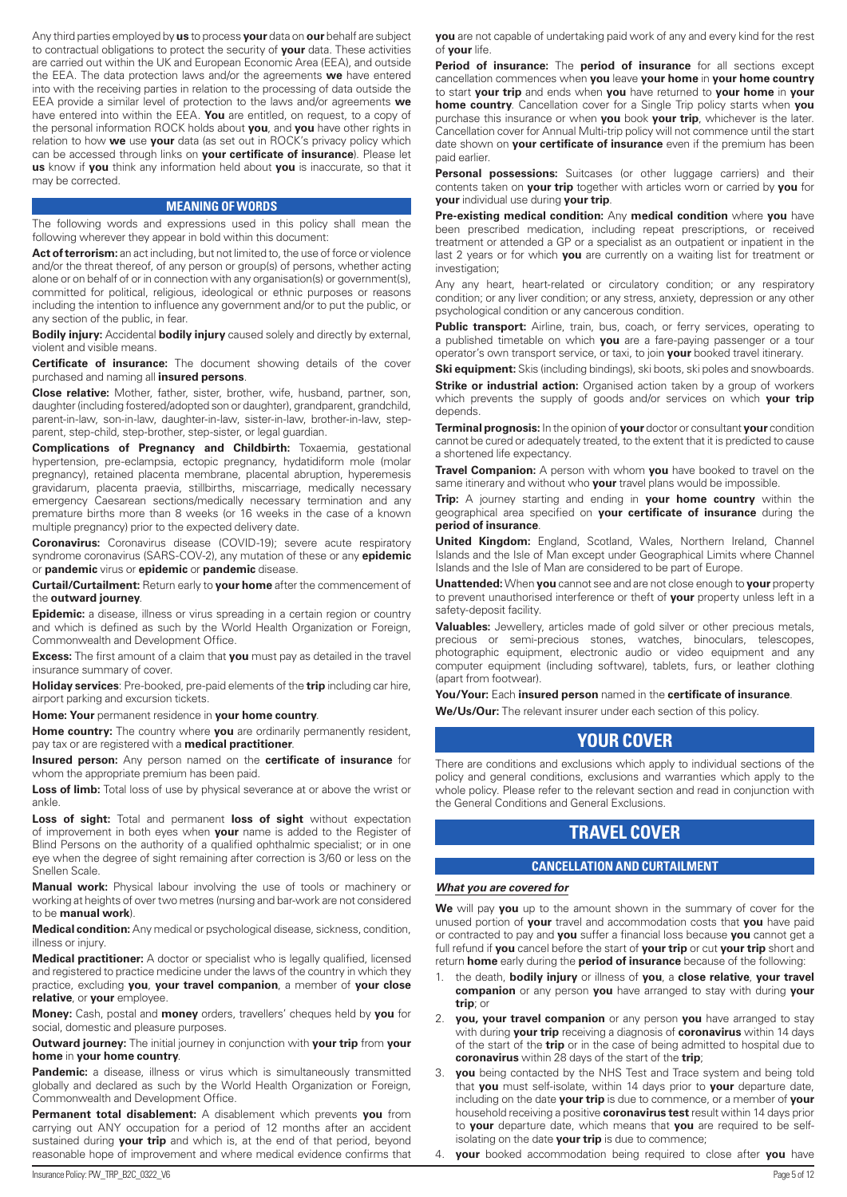Any third parties employed by **us** to process **your** data on **our** behalf are subject to contractual obligations to protect the security of **your** data. These activities are carried out within the UK and European Economic Area (EEA), and outside the EEA. The data protection laws and/or the agreements **we** have entered into with the receiving parties in relation to the processing of data outside the EEA provide a similar level of protection to the laws and/or agreements **we** have entered into within the EEA. **You** are entitled, on request, to a copy of the personal information ROCK holds about **you**, and **you** have other rights in relation to how **we** use **your** data (as set out in ROCK's privacy policy which can be accessed through links on **your certificate of insurance**). Please let **us** know if **you** think any information held about **you** is inaccurate, so that it may be corrected.

#### **MEANING OF WORDS**

The following words and expressions used in this policy shall mean the following wherever they appear in bold within this document:

Act of terrorism: an act including, but not limited to, the use of force or violence and/or the threat thereof, of any person or group(s) of persons, whether acting alone or on behalf of or in connection with any organisation(s) or government(s), committed for political, religious, ideological or ethnic purposes or reasons including the intention to influence any government and/or to put the public, or any section of the public, in fear.

**Bodily injury:** Accidental **bodily injury** caused solely and directly by external, violent and visible means.

**Certificate of insurance:** The document showing details of the cover purchased and naming all **insured persons**.

**Close relative:** Mother, father, sister, brother, wife, husband, partner, son, daughter (including fostered/adopted son or daughter), grandparent, grandchild, parent-in-law, son-in-law, daughter-in-law, sister-in-law, brother-in-law, stepparent, step-child, step-brother, step-sister, or legal guardian.

**Complications of Pregnancy and Childbirth:** Toxaemia, gestational hypertension, pre-eclampsia, ectopic pregnancy, hydatidiform mole (molar pregnancy), retained placenta membrane, placental abruption, hyperemesis gravidarum, placenta praevia, stillbirths, miscarriage, medically necessary emergency Caesarean sections/medically necessary termination and any premature births more than 8 weeks (or 16 weeks in the case of a known multiple pregnancy) prior to the expected delivery date.

**Coronavirus:** Coronavirus disease (COVID-19); severe acute respiratory syndrome coronavirus (SARS-COV-2), any mutation of these or any **epidemic** or **pandemic** virus or **epidemic** or **pandemic** disease.

**Curtail/Curtailment:** Return early to **your home** after the commencement of the **outward journey**.

**Epidemic:** a disease, illness or virus spreading in a certain region or country and which is defined as such by the World Health Organization or Foreign, Commonwealth and Development Office.

**Excess:** The first amount of a claim that **you** must pay as detailed in the travel insurance summary of cover.

**Holiday services**: Pre-booked, pre-paid elements of the **trip** including car hire, airport parking and excursion tickets.

**Home: Your** permanent residence in **your home country**.

**Home country:** The country where **you** are ordinarily permanently resident, pay tax or are registered with a **medical practitioner**.

**Insured person:** Any person named on the **certificate of insurance** for whom the appropriate premium has been paid.

**Loss of limb:** Total loss of use by physical severance at or above the wrist or ankle.

**Loss of sight:** Total and permanent **loss of sight** without expectation of improvement in both eyes when **your** name is added to the Register of Blind Persons on the authority of a qualified ophthalmic specialist; or in one eye when the degree of sight remaining after correction is 3/60 or less on the Snellen Scale.

**Manual work:** Physical labour involving the use of tools or machinery or working at heights of over two metres (nursing and bar-work are not considered to be **manual work**).

**Medical condition:** Any medical or psychological disease, sickness, condition, illness or injury.

**Medical practitioner:** A doctor or specialist who is legally qualified, licensed and registered to practice medicine under the laws of the country in which they practice, excluding **you**, **your travel companion**, a member of **your close relative**, or **your** employee.

**Money:** Cash, postal and **money** orders, travellers' cheques held by **you** for social, domestic and pleasure purposes.

**Outward journey:** The initial journey in conjunction with **your trip** from **your home** in **your home country**.

Pandemic: a disease, illness or virus which is simultaneously transmitted globally and declared as such by the World Health Organization or Foreign, Commonwealth and Development Office.

**Permanent total disablement:** A disablement which prevents **you** from carrying out ANY occupation for a period of 12 months after an accident sustained during **your trip** and which is, at the end of that period, beyond reasonable hope of improvement and where medical evidence confirms that **you** are not capable of undertaking paid work of any and every kind for the rest of **your** life.

**Period of insurance:** The **period of insurance** for all sections except cancellation commences when **you** leave **your home** in **your home country** to start **your trip** and ends when **you** have returned to **your home** in **your home country**. Cancellation cover for a Single Trip policy starts when **you** purchase this insurance or when **you** book **your trip**, whichever is the later. Cancellation cover for Annual Multi-trip policy will not commence until the start date shown on **your certificate of insurance** even if the premium has been paid earlier.

Personal possessions: Suitcases (or other luggage carriers) and their contents taken on **your trip** together with articles worn or carried by **you** for **your** individual use during **your trip**.

**Pre-existing medical condition:** Any **medical condition** where **you** have been prescribed medication, including repeat prescriptions, or received treatment or attended a GP or a specialist as an outpatient or inpatient in the last 2 years or for which **you** are currently on a waiting list for treatment or investigation;

Any any heart, heart-related or circulatory condition; or any respiratory condition; or any liver condition; or any stress, anxiety, depression or any other psychological condition or any cancerous condition.

Public transport: Airline, train, bus, coach, or ferry services, operating to a published timetable on which **you** are a fare-paying passenger or a tour operator's own transport service, or taxi, to join **your** booked travel itinerary.

**Ski equipment:** Skis (including bindings), ski boots, ski poles and snowboards. **Strike or industrial action:** Organised action taken by a group of workers which prevents the supply of goods and/or services on which **your trip** depends.

**Terminal prognosis:** In the opinion of **your** doctor or consultant **your** condition cannot be cured or adequately treated, to the extent that it is predicted to cause a shortened life expectancy.

**Travel Companion:** A person with whom **you** have booked to travel on the same itinerary and without who **your** travel plans would be impossible.

**Trip:** A journey starting and ending in **your home country** within the geographical area specified on **your certificate of insurance** during the **period of insurance**.

**United Kingdom:** England, Scotland, Wales, Northern Ireland, Channel Islands and the Isle of Man except under Geographical Limits where Channel Islands and the Isle of Man are considered to be part of Europe.

**Unattended:** When **you** cannot see and are not close enough to **your** property to prevent unauthorised interference or theft of **your** property unless left in a safety-deposit facility.

**Valuables:** Jewellery, articles made of gold silver or other precious metals, precious or semi-precious stones, watches, binoculars, telescopes, photographic equipment, electronic audio or video equipment and any computer equipment (including software), tablets, furs, or leather clothing (apart from footwear).

#### **You/Your:** Each **insured person** named in the **certificate of insurance**.

**We/Us/Our:** The relevant insurer under each section of this policy.

# **YOUR COVER**

There are conditions and exclusions which apply to individual sections of the policy and general conditions, exclusions and warranties which apply to the whole policy. Please refer to the relevant section and read in conjunction with the General Conditions and General Exclusions.

# **TRAVEL COVER**

#### **CANCELLATION AND CURTAILMENT**

#### *What you are covered for*

**We** will pay **you** up to the amount shown in the summary of cover for the unused portion of **your** travel and accommodation costs that **you** have paid or contracted to pay and **you** suffer a financial loss because **you** cannot get a full refund if **you** cancel before the start of **your trip** or cut **your trip** short and return **home** early during the **period of insurance** because of the following:

- 1. the death, **bodily injury** or illness of **you**, a **close relative**, **your travel companion** or any person **you** have arranged to stay with during **your trip**; or
- 2. **you, your travel companion** or any person **you** have arranged to stay with during **your trip** receiving a diagnosis of **coronavirus** within 14 days of the start of the **trip** or in the case of being admitted to hospital due to **coronavirus** within 28 days of the start of the **trip**;
- **you** being contacted by the NHS Test and Trace system and being told that **you** must self-isolate, within 14 days prior to **your** departure date, including on the date **your trip** is due to commence, or a member of **your** household receiving a positive **coronavirus test** result within 14 days prior to **your** departure date, which means that **you** are required to be selfisolating on the date **your trip** is due to commence;
- 4. **your** booked accommodation being required to close after **you** have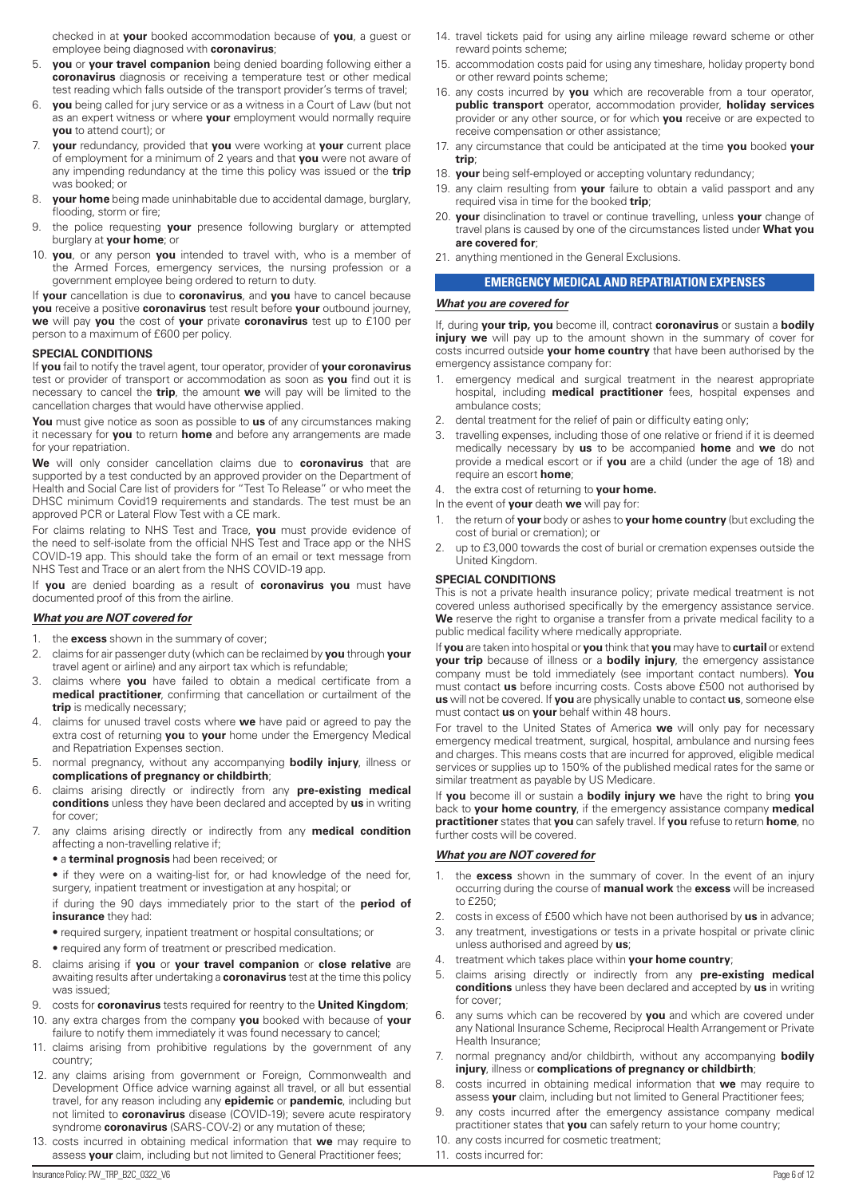checked in at **your** booked accommodation because of **you**, a guest or employee being diagnosed with **coronavirus**;

- 5. **you** or **your travel companion** being denied boarding following either a **coronavirus** diagnosis or receiving a temperature test or other medical test reading which falls outside of the transport provider's terms of travel;
- 6. **you** being called for jury service or as a witness in a Court of Law (but not as an expert witness or where **your** employment would normally require **you** to attend court); or
- 7. **your** redundancy, provided that **you** were working at **your** current place of employment for a minimum of 2 years and that **you** were not aware of any impending redundancy at the time this policy was issued or the **trip** was booked; or
- **your home** being made uninhabitable due to accidental damage, burglary, flooding, storm or fire;
- 9. the police requesting **your** presence following burglary or attempted burglary at **your home**; or
- 10. **you**, or any person **you** intended to travel with, who is a member of the Armed Forces, emergency services, the nursing profession or a government employee being ordered to return to duty.

If **your** cancellation is due to **coronavirus**, and **you** have to cancel because **you** receive a positive **coronavirus** test result before **your** outbound journey, **we** will pay **you** the cost of **your** private **coronavirus** test up to £100 per person to a maximum of £600 per policy.

#### **SPECIAL CONDITIONS**

If **you** fail to notify the travel agent, tour operator, provider of **your coronavirus** test or provider of transport or accommodation as soon as **you** find out it is necessary to cancel the **trip**, the amount **we** will pay will be limited to the cancellation charges that would have otherwise applied.

**You** must give notice as soon as possible to **us** of any circumstances making it necessary for **you** to return **home** and before any arrangements are made for your repatriation.

**We** will only consider cancellation claims due to **coronavirus** that are supported by a test conducted by an approved provider on the Department of Health and Social Care list of providers for "Test To Release" or who meet the DHSC minimum Covid19 requirements and standards. The test must be an approved PCR or Lateral Flow Test with a CE mark.

For claims relating to NHS Test and Trace, **you** must provide evidence of the need to self-isolate from the official NHS Test and Trace app or the NHS COVID-19 app. This should take the form of an email or text message from NHS Test and Trace or an alert from the NHS COVID-19 app.

If **you** are denied boarding as a result of **coronavirus you** must have documented proof of this from the airline.

#### *What you are NOT covered for*

- 1. the **excess** shown in the summary of cover;
- 2. claims for air passenger duty (which can be reclaimed by **you** through **your** travel agent or airline) and any airport tax which is refundable;
- 3. claims where **you** have failed to obtain a medical certificate from a **medical practitioner**, confirming that cancellation or curtailment of the **trip** is medically necessary;
- 4. claims for unused travel costs where **we** have paid or agreed to pay the extra cost of returning **you** to **your** home under the Emergency Medical and Repatriation Expenses section.
- 5. normal pregnancy, without any accompanying **bodily injury**, illness or **complications of pregnancy or childbirth**;
- 6. claims arising directly or indirectly from any **pre-existing medical conditions** unless they have been declared and accepted by **us** in writing for cover;
- 7. any claims arising directly or indirectly from any **medical condition** affecting a non-travelling relative if;
	- a **terminal prognosis** had been received; or

• if they were on a waiting-list for, or had knowledge of the need for, surgery, inpatient treatment or investigation at any hospital; or

if during the 90 days immediately prior to the start of the **period of insurance** they had:

- required surgery, inpatient treatment or hospital consultations; or
- required any form of treatment or prescribed medication.
- 8. claims arising if **you** or **your travel companion** or **close relative** are awaiting results after undertaking a **coronavirus** test at the time this policy was issued;
- 9. costs for **coronavirus** tests required for reentry to the **United Kingdom**;
- 10. any extra charges from the company **you** booked with because of **your**  failure to notify them immediately it was found necessary to cancel;
- 11. claims arising from prohibitive regulations by the government of any country;
- 12. any claims arising from government or Foreign, Commonwealth and Development Office advice warning against all travel, or all but essential travel, for any reason including any **epidemic** or **pandemic**, including but not limited to **coronavirus** disease (COVID-19); severe acute respiratory syndrome **coronavirus** (SARS-COV-2) or any mutation of these;
- 13. costs incurred in obtaining medical information that **we** may require to assess **your** claim, including but not limited to General Practitioner fees;
- 14. travel tickets paid for using any airline mileage reward scheme or other reward points scheme;
- 15. accommodation costs paid for using any timeshare, holiday property bond or other reward points scheme;
- 16. any costs incurred by **you** which are recoverable from a tour operator, **public transport** operator, accommodation provider, **holiday services** provider or any other source, or for which **you** receive or are expected to receive compensation or other assistance;
- 17. any circumstance that could be anticipated at the time **you** booked **your trip**;
- 18. **your** being self-employed or accepting voluntary redundancy;
- 19. any claim resulting from **your** failure to obtain a valid passport and any required visa in time for the booked **trip**;
- 20. **your** disinclination to travel or continue travelling, unless **your** change of travel plans is caused by one of the circumstances listed under **What you are covered for**;
- 21. anything mentioned in the General Exclusions.

#### **EMERGENCY MEDICAL AND REPATRIATION EXPENSES**

#### *What you are covered for*

If, during **your trip, you** become ill, contract **coronavirus** or sustain a **bodily injury we** will pay up to the amount shown in the summary of cover for costs incurred outside **your home country** that have been authorised by the emergency assistance company for:

- 1. emergency medical and surgical treatment in the nearest appropriate hospital, including **medical practitioner** fees, hospital expenses and ambulance costs;
- 2. dental treatment for the relief of pain or difficulty eating only;
- 3. travelling expenses, including those of one relative or friend if it is deemed medically necessary by **us** to be accompanied **home** and **we** do not provide a medical escort or if **you** are a child (under the age of 18) and require an escort **home**;
- 4. the extra cost of returning to **your home.**

In the event of **your** death **we** will pay for:

- 1. the return of **your** body or ashes to **your home country** (but excluding the cost of burial or cremation); or
- 2. up to £3,000 towards the cost of burial or cremation expenses outside the United Kingdom.

#### **SPECIAL CONDITIONS**

This is not a private health insurance policy; private medical treatment is not covered unless authorised specifically by the emergency assistance service. **We** reserve the right to organise a transfer from a private medical facility to a public medical facility where medically appropriate.

If **you** are taken into hospital or **you** think that **you** may have to **curtail** or extend **your trip** because of illness or a **bodily injury**, the emergency assistance company must be told immediately (see important contact numbers). **You** must contact **us** before incurring costs. Costs above £500 not authorised by **us** will not be covered. If **you** are physically unable to contact **us**, someone else must contact **us** on **your** behalf within 48 hours.

For travel to the United States of America **we** will only pay for necessary emergency medical treatment, surgical, hospital, ambulance and nursing fees and charges. This means costs that are incurred for approved, eligible medical services or supplies up to 150% of the published medical rates for the same or similar treatment as payable by US Medicare.

If **you** become ill or sustain a **bodily injury we** have the right to bring **you** back to **your home country**, if the emergency assistance company **medical practitioner** states that **you** can safely travel. If **you** refuse to return **home**, no further costs will be covered.

#### *What you are NOT covered for*

- 1. the **excess** shown in the summary of cover. In the event of an injury occurring during the course of **manual work** the **excess** will be increased to £250;
- 2. costs in excess of £500 which have not been authorised by **us** in advance;
- 3. any treatment, investigations or tests in a private hospital or private clinic unless authorised and agreed by **us**;
- 4. treatment which takes place within **your home country**;
- 5. claims arising directly or indirectly from any **pre-existing medical conditions** unless they have been declared and accepted by **us** in writing for cover;
- 6. any sums which can be recovered by **you** and which are covered under any National Insurance Scheme, Reciprocal Health Arrangement or Private Health Insurance;
- 7. normal pregnancy and/or childbirth, without any accompanying **bodily injury**, illness or **complications of pregnancy or childbirth**;
- 8. costs incurred in obtaining medical information that **we** may require to assess **your** claim, including but not limited to General Practitioner fees;
- any costs incurred after the emergency assistance company medical practitioner states that **you** can safely return to your home country;
- 10. any costs incurred for cosmetic treatment;
- 11 costs incurred for: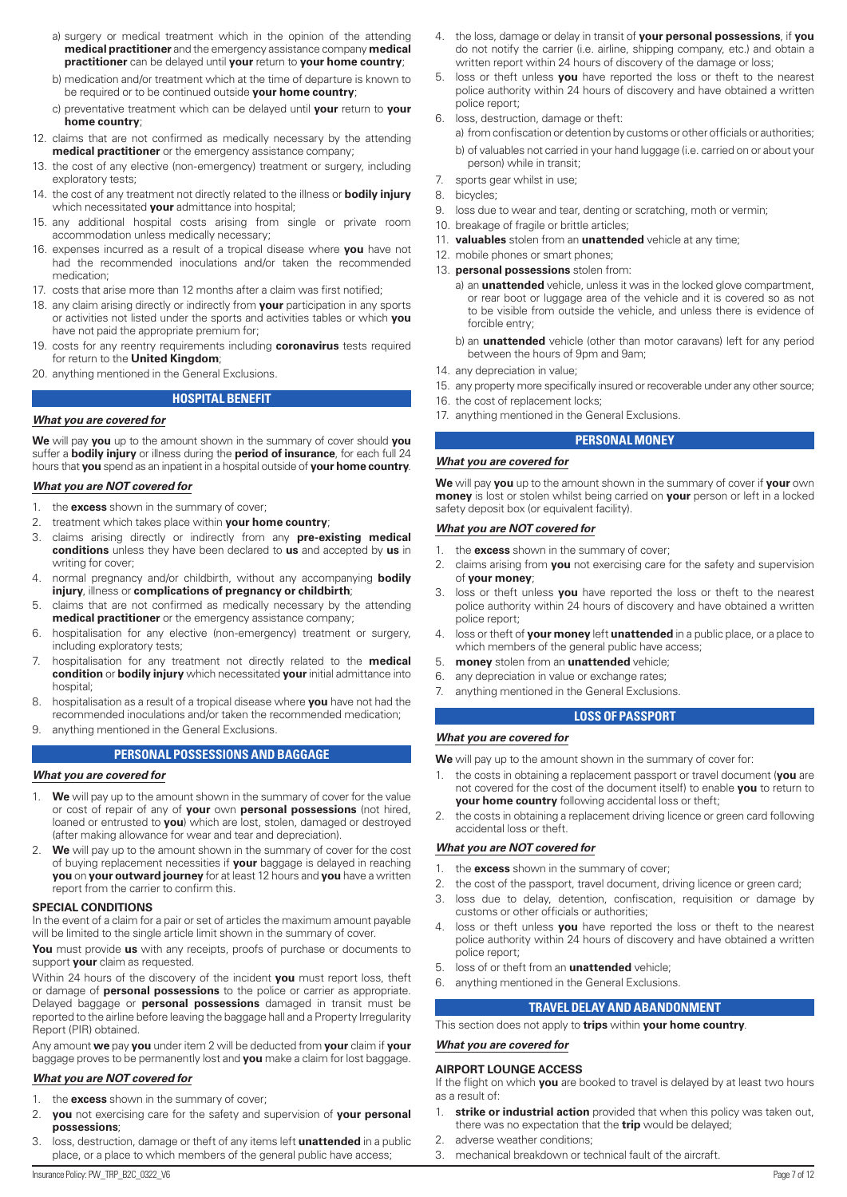- a) surgery or medical treatment which in the opinion of the attending **medical practitioner** and the emergency assistance company **medical practitioner** can be delayed until **your** return to **your home country**;
- b) medication and/or treatment which at the time of departure is known to be required or to be continued outside **your home country**;
- c) preventative treatment which can be delayed until **your** return to **your home country**;
- 12. claims that are not confirmed as medically necessary by the attending **medical practitioner** or the emergency assistance company;
- 13. the cost of any elective (non-emergency) treatment or surgery, including exploratory tests;
- 14. the cost of any treatment not directly related to the illness or **bodily injury**  which necessitated **your** admittance into hospital;
- 15. any additional hospital costs arising from single or private room accommodation unless medically necessary;
- 16. expenses incurred as a result of a tropical disease where **you** have not had the recommended inoculations and/or taken the recommended medication;
- 17. costs that arise more than 12 months after a claim was first notified;
- 18. any claim arising directly or indirectly from **your** participation in any sports or activities not listed under the sports and activities tables or which **you** have not paid the appropriate premium for;
- 19. costs for any reentry requirements including **coronavirus** tests required for return to the **United Kingdom**;
- 20. anything mentioned in the General Exclusions.

### **HOSPITAL BENEFIT**

#### *What you are covered for*

**We** will pay **you** up to the amount shown in the summary of cover should **you** suffer a **bodily injury** or illness during the **period of insurance**, for each full 24 hours that **you** spend as an inpatient in a hospital outside of **your home country**.

#### *What you are NOT covered for*

- 1. the **excess** shown in the summary of cover;
- 2. treatment which takes place within **your home country**;
- 3. claims arising directly or indirectly from any **pre-existing medical conditions** unless they have been declared to **us** and accepted by **us** in writing for cover;
- 4. normal pregnancy and/or childbirth, without any accompanying **bodily injury**, illness or **complications of pregnancy or childbirth**;
- 5. claims that are not confirmed as medically necessary by the attending **medical practitioner** or the emergency assistance company;
- 6. hospitalisation for any elective (non-emergency) treatment or surgery, including exploratory tests;
- 7. hospitalisation for any treatment not directly related to the **medical condition** or **bodily injury** which necessitated **your** initial admittance into hospital:
- 8. hospitalisation as a result of a tropical disease where **you** have not had the recommended inoculations and/or taken the recommended medication;
- 9. anything mentioned in the General Exclusions.

#### **PERSONAL POSSESSIONS AND BAGGAGE**

#### *What you are covered for*

- 1. **We** will pay up to the amount shown in the summary of cover for the value or cost of repair of any of **your** own **personal possessions** (not hired, loaned or entrusted to **you**) which are lost, stolen, damaged or destroyed (after making allowance for wear and tear and depreciation).
- **We** will pay up to the amount shown in the summary of cover for the cost of buying replacement necessities if **your** baggage is delayed in reaching **you** on **your outward journey** for at least 12 hours and **you** have a written report from the carrier to confirm this.

#### **SPECIAL CONDITIONS**

In the event of a claim for a pair or set of articles the maximum amount payable will be limited to the single article limit shown in the summary of cover.

**You** must provide **us** with any receipts, proofs of purchase or documents to support **your** claim as requested.

Within 24 hours of the discovery of the incident **you** must report loss, theft or damage of **personal possessions** to the police or carrier as appropriate. Delayed baggage or **personal possessions** damaged in transit must be reported to the airline before leaving the baggage hall and a Property Irregularity Report (PIR) obtained.

Any amount **we** pay **you** under item 2 will be deducted from **your** claim if **your** baggage proves to be permanently lost and **you** make a claim for lost baggage.

#### *What you are NOT covered for*

- 1. the **excess** shown in the summary of cover;
- 2. **you** not exercising care for the safety and supervision of **your personal possessions**;
- 3. loss, destruction, damage or theft of any items left **unattended** in a public place, or a place to which members of the general public have access;
- 4. the loss, damage or delay in transit of **your personal possessions**, if **you** do not notify the carrier (i.e. airline, shipping company, etc.) and obtain a written report within 24 hours of discovery of the damage or loss;
- 5. loss or theft unless **you** have reported the loss or theft to the nearest police authority within 24 hours of discovery and have obtained a written police report;
- 6. loss, destruction, damage or theft:
	- a) from confiscation or detention by customs or other officials or authorities; b) of valuables not carried in your hand luggage (i.e. carried on or about your person) while in transit;
- 7. sports gear whilst in use;
- 8. bicycles;
- 9. loss due to wear and tear, denting or scratching, moth or vermin;
- 10. breakage of fragile or brittle articles;
- 11. **valuables** stolen from an **unattended** vehicle at any time;
- 12. mobile phones or smart phones;
- 13. **personal possessions** stolen from:
	- a) an **unattended** vehicle, unless it was in the locked glove compartment, or rear boot or luggage area of the vehicle and it is covered so as not to be visible from outside the vehicle, and unless there is evidence of forcible entry;
	- b) an **unattended** vehicle (other than motor caravans) left for any period between the hours of 9pm and 9am;
- 14. any depreciation in value;
- 15. any property more specifically insured or recoverable under any other source;
- 16. the cost of replacement locks;
- 17. anything mentioned in the General Exclusions.

#### **PERSONAL MONEY**

#### *What you are covered for*

**We** will pay **you** up to the amount shown in the summary of cover if **your** own **money** is lost or stolen whilst being carried on **your** person or left in a locked safety deposit box (or equivalent facility).

#### *What you are NOT covered for*

- 1. the **excess** shown in the summary of cover;
- 2. claims arising from **you** not exercising care for the safety and supervision of **your money**;
- 3. loss or theft unless **you** have reported the loss or theft to the nearest police authority within 24 hours of discovery and have obtained a written police report;
- 4. loss or theft of **your money** left **unattended** in a public place, or a place to which members of the general public have access;
- 5. **money** stolen from an **unattended** vehicle;
- 6. any depreciation in value or exchange rates;
- 7. anything mentioned in the General Exclusions.

#### **LOSS OF PASSPORT**

#### *What you are covered for*

**We** will pay up to the amount shown in the summary of cover for:

- 1. the costs in obtaining a replacement passport or travel document (**you** are not covered for the cost of the document itself) to enable **you** to return to **your home country** following accidental loss or theft;
- 2. the costs in obtaining a replacement driving licence or green card following accidental loss or theft.

#### *What you are NOT covered for*

- 1. the **excess** shown in the summary of cover;
- 2. the cost of the passport, travel document, driving licence or green card;
- 3. loss due to delay, detention, confiscation, requisition or damage by customs or other officials or authorities;
- 4. loss or theft unless **you** have reported the loss or theft to the nearest police authority within 24 hours of discovery and have obtained a written police report;
- 5. loss of or theft from an **unattended** vehicle;
- 6. anything mentioned in the General Exclusions.

#### **TRAVEL DELAY AND ABANDONMENT**

This section does not apply to **trips** within **your home country**.

# *What you are covered for*

#### **AIRPORT LOUNGE ACCESS**

If the flight on which **you** are booked to travel is delayed by at least two hours as a result of:

- 1. **strike or industrial action** provided that when this policy was taken out, there was no expectation that the **trip** would be delayed;
- 2. adverse weather conditions;
- 3. mechanical breakdown or technical fault of the aircraft.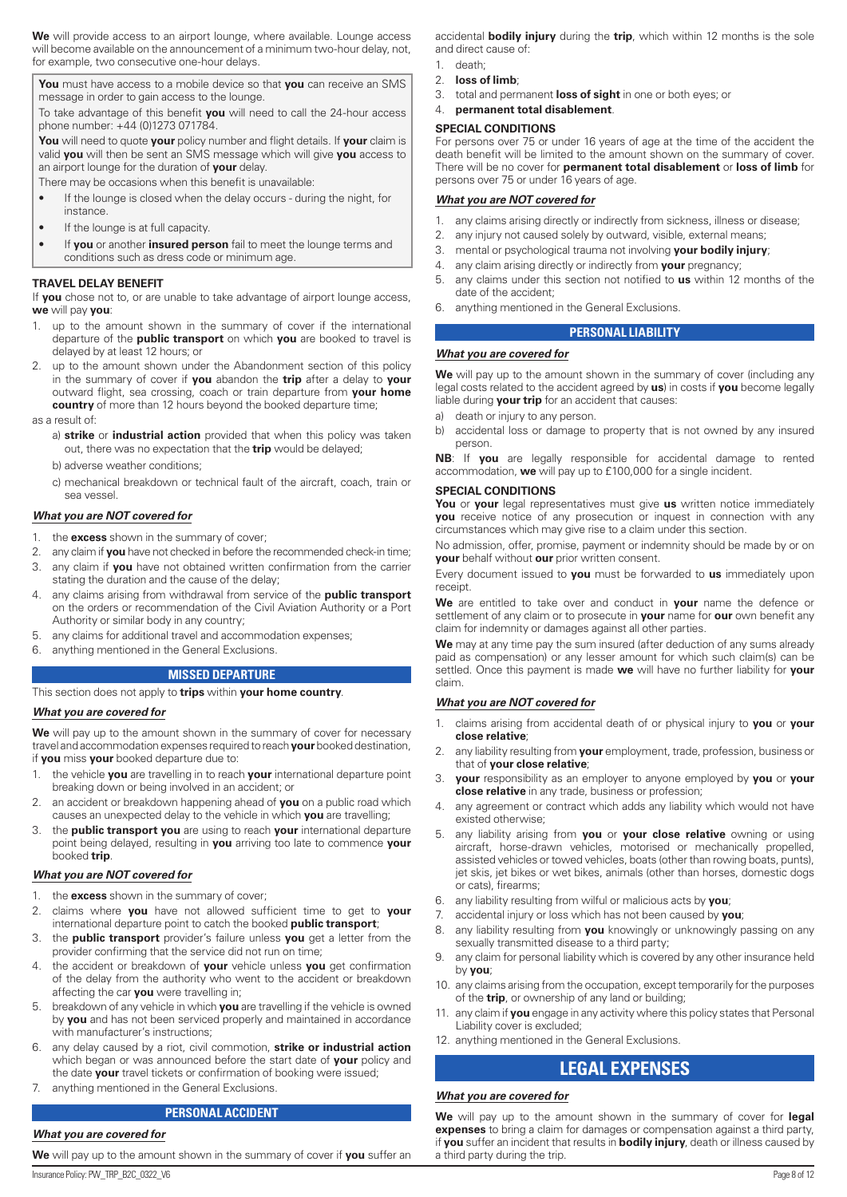**We** will provide access to an airport lounge, where available. Lounge access will become available on the announcement of a minimum two-hour delay, not, for example, two consecutive one-hour delays.

**You** must have access to a mobile device so that **you** can receive an SMS message in order to gain access to the lounge.

To take advantage of this benefit **you** will need to call the 24-hour access phone number: +44 (0)1273 071784.

**You** will need to quote **your** policy number and flight details. If **your** claim is valid **you** will then be sent an SMS message which will give **you** access to an airport lounge for the duration of **your** delay.

There may be occasions when this benefit is unavailable:

- If the lounge is closed when the delay occurs during the night, for instance.
- If the lounge is at full capacity.
- If **you** or another **insured person** fail to meet the lounge terms and conditions such as dress code or minimum age.

#### **TRAVEL DELAY BENEFIT**

If **you** chose not to, or are unable to take advantage of airport lounge access, **we** will pay **you**:

- 1. up to the amount shown in the summary of cover if the international departure of the **public transport** on which **you** are booked to travel is delayed by at least 12 hours; or
- up to the amount shown under the Abandonment section of this policy in the summary of cover if **you** abandon the **trip** after a delay to **your** outward flight, sea crossing, coach or train departure from **your home country** of more than 12 hours beyond the booked departure time;
- as a result of:
	- a) **strike** or **industrial action** provided that when this policy was taken out, there was no expectation that the **trip** would be delayed;
	- b) adverse weather conditions;
	- c) mechanical breakdown or technical fault of the aircraft, coach, train or sea vessel.

#### *What you are NOT covered for*

- 1. the **excess** shown in the summary of cover;
- 2. any claim if **you** have not checked in before the recommended check-in time;
- 3. any claim if **you** have not obtained written confirmation from the carrier stating the duration and the cause of the delay;
- 4. any claims arising from withdrawal from service of the **public transport**  on the orders or recommendation of the Civil Aviation Authority or a Port Authority or similar body in any country;
- 5. any claims for additional travel and accommodation expenses;
- 6. anything mentioned in the General Exclusions.

#### **MISSED DEPARTURE**

#### This section does not apply to **trips** within **your home country**.

#### *What you are covered for*

We will pay up to the amount shown in the summary of cover for necessary travel and accommodation expenses required to reach **your** booked destination, if **you** miss **your** booked departure due to:

- 1. the vehicle **you** are travelling in to reach **your** international departure point breaking down or being involved in an accident; or
- 2. an accident or breakdown happening ahead of **you** on a public road which causes an unexpected delay to the vehicle in which **you** are travelling;
- 3. the **public transport you** are using to reach **your** international departure point being delayed, resulting in **you** arriving too late to commence **your** booked **trip**.

#### *What you are NOT covered for*

- 1. the **excess** shown in the summary of cover;
- 2. claims where **you** have not allowed sufficient time to get to **your** international departure point to catch the booked **public transport**;
- 3. the **public transport** provider's failure unless **you** get a letter from the provider confirming that the service did not run on time;
- 4. the accident or breakdown of **your** vehicle unless **you** get confirmation of the delay from the authority who went to the accident or breakdown affecting the car **you** were travelling in;
- 5. breakdown of any vehicle in which **you** are travelling if the vehicle is owned by **you** and has not been serviced properly and maintained in accordance with manufacturer's instructions;
- 6. any delay caused by a riot, civil commotion, **strike or industrial action** which began or was announced before the start date of **your** policy and the date **your** travel tickets or confirmation of booking were issued;
- 7. anything mentioned in the General Exclusions.

#### **PERSONAL ACCIDENT**

#### *What you are covered for*

Insurance Policy: PW\_TRP\_B2C\_0322\_V6 Page 8 of 12 **We** will pay up to the amount shown in the summary of cover if **you** suffer an

accidental **bodily injury** during the **trip**, which within 12 months is the sole and direct cause of:

- 1. death; 2. **loss of limb**;
- 3. total and permanent **loss of sight** in one or both eyes; or
- 4. **permanent total disablement**.

#### **SPECIAL CONDITIONS**

For persons over 75 or under 16 years of age at the time of the accident the death benefit will be limited to the amount shown on the summary of cover. There will be no cover for **permanent total disablement** or **loss of limb** for persons over 75 or under 16 years of age.

#### *What you are NOT covered for*

- 1. any claims arising directly or indirectly from sickness, illness or disease;
- 2. any injury not caused solely by outward, visible, external means;
- 3. mental or psychological trauma not involving **your bodily injury**;
- 4. any claim arising directly or indirectly from **your** pregnancy;
- 5. any claims under this section not notified to **us** within 12 months of the date of the accident;
- 6. anything mentioned in the General Exclusions.

#### **PERSONAL LIABILITY**

#### *What you are covered for*

We will pay up to the amount shown in the summary of cover (including any legal costs related to the accident agreed by **us**) in costs if **you** become legally liable during **your trip** for an accident that causes:

- a) death or injury to any person.
- b) accidental loss or damage to property that is not owned by any insured person.

**NB**: If **you** are legally responsible for accidental damage to rented accommodation, **we** will pay up to £100,000 for a single incident.

#### **SPECIAL CONDITIONS**

**You** or **your** legal representatives must give **us** written notice immediately **you** receive notice of any prosecution or inquest in connection with any circumstances which may give rise to a claim under this section.

No admission, offer, promise, payment or indemnity should be made by or on **your** behalf without **our** prior written consent.

Every document issued to **you** must be forwarded to **us** immediately upon receipt.

**We** are entitled to take over and conduct in **your** name the defence or settlement of any claim or to prosecute in **your** name for **our** own benefit any claim for indemnity or damages against all other parties.

**We** may at any time pay the sum insured (after deduction of any sums already paid as compensation) or any lesser amount for which such claim(s) can be settled. Once this payment is made **we** will have no further liability for **your** claim.

#### *What you are NOT covered for*

- 1. claims arising from accidental death of or physical injury to **you** or **your close relative**;
- 2. any liability resulting from **your** employment, trade, profession, business or that of **your close relative**;
- 3. **your** responsibility as an employer to anyone employed by **you** or **your close relative** in any trade, business or profession;
- 4. any agreement or contract which adds any liability which would not have existed otherwise;
- 5. any liability arising from **you** or **your close relative** owning or using aircraft, horse-drawn vehicles, motorised or mechanically propelled, assisted vehicles or towed vehicles, boats (other than rowing boats, punts), jet skis, jet bikes or wet bikes, animals (other than horses, domestic dogs or cats), firearms;
- 6. any liability resulting from wilful or malicious acts by **you**;
- 7. accidental injury or loss which has not been caused by **you**;
- 8. any liability resulting from **you** knowingly or unknowingly passing on any sexually transmitted disease to a third party;
- 9. any claim for personal liability which is covered by any other insurance held by **you**;
- 10. any claims arising from the occupation, except temporarily for the purposes of the **trip**, or ownership of any land or building;
- 11. any claim if **you** engage in any activity where this policy states that Personal Liability cover is excluded;
- 12. anything mentioned in the General Exclusions.

# **LEGAL EXPENSES**

#### *What you are covered for*

**We** will pay up to the amount shown in the summary of cover for **legal expenses** to bring a claim for damages or compensation against a third party, if **you** suffer an incident that results in **bodily injury**, death or illness caused by a third party during the trip.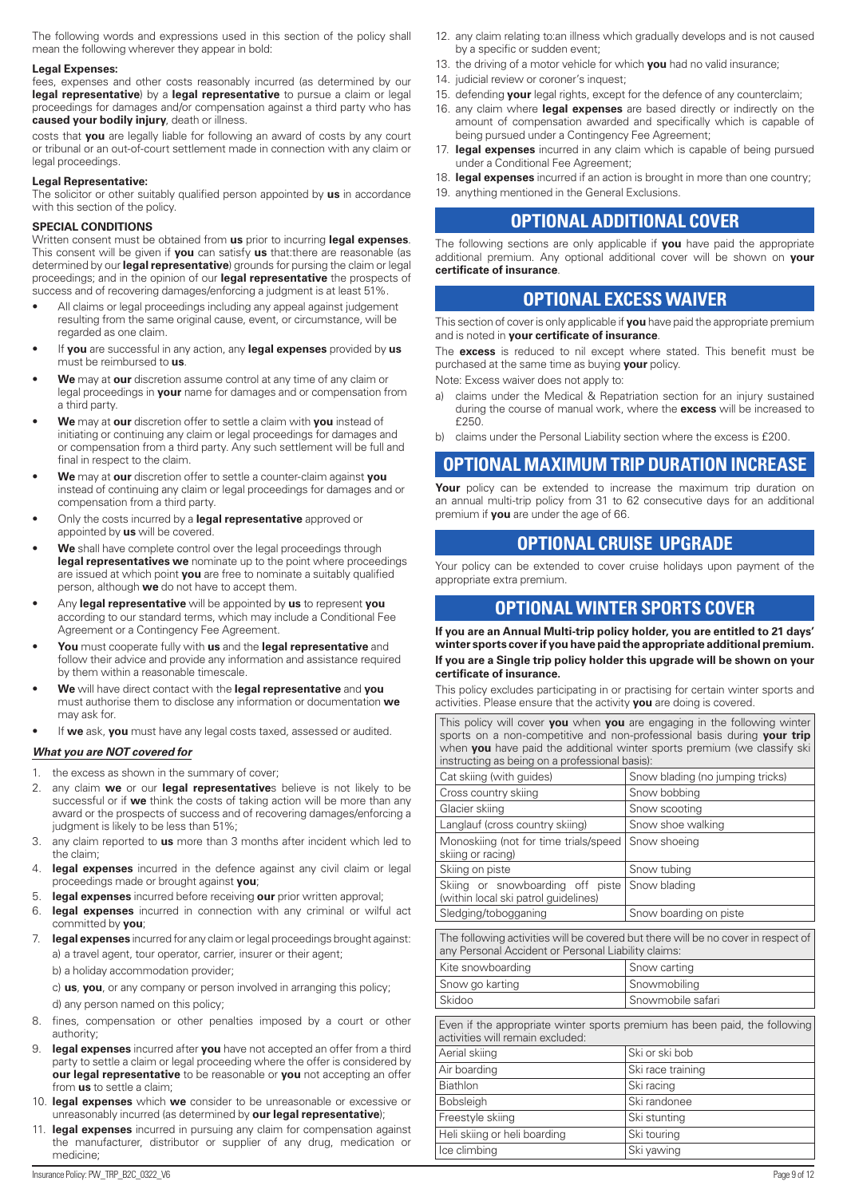The following words and expressions used in this section of the policy shall mean the following wherever they appear in bold:

#### **Legal Expenses:**

fees, expenses and other costs reasonably incurred (as determined by our **legal representative**) by a **legal representative** to pursue a claim or legal proceedings for damages and/or compensation against a third party who has **caused your bodily injury**, death or illness.

costs that **you** are legally liable for following an award of costs by any court or tribunal or an out-of-court settlement made in connection with any claim or legal proceedings.

#### **Legal Representative:**

The solicitor or other suitably qualified person appointed by **us** in accordance with this section of the policy.

#### **SPECIAL CONDITIONS**

Written consent must be obtained from **us** prior to incurring **legal expenses**. This consent will be given if **you** can satisfy **us** that:there are reasonable (as determined by our **legal representative**) grounds for pursing the claim or legal proceedings; and in the opinion of our **legal representative** the prospects of success and of recovering damages/enforcing a judgment is at least 51%.

- All claims or legal proceedings including any appeal against judgement resulting from the same original cause, event, or circumstance, will be regarded as one claim.
- If **you** are successful in any action, any **legal expenses** provided by **us** must be reimbursed to **us**.
- **We** may at **our** discretion assume control at any time of any claim or legal proceedings in **your** name for damages and or compensation from a third party.
- **We** may at **our** discretion offer to settle a claim with **you** instead of initiating or continuing any claim or legal proceedings for damages and or compensation from a third party. Any such settlement will be full and final in respect to the claim.
- **We** may at **our** discretion offer to settle a counter-claim against **you** instead of continuing any claim or legal proceedings for damages and or compensation from a third party.
- Only the costs incurred by a **legal representative** approved or appointed by **us** will be covered.
- **We** shall have complete control over the legal proceedings through **legal representatives we** nominate up to the point where proceedings are issued at which point **you** are free to nominate a suitably qualified person, although **we** do not have to accept them.
- Any **legal representative** will be appointed by **us** to represent **you** according to our standard terms, which may include a Conditional Fee Agreement or a Contingency Fee Agreement.
- **You** must cooperate fully with **us** and the **legal representative** and follow their advice and provide any information and assistance required by them within a reasonable timescale.
- **We** will have direct contact with the **legal representative** and **you** must authorise them to disclose any information or documentation **we** may ask for.
- If **we** ask, **you** must have any legal costs taxed, assessed or audited.

#### *What you are NOT covered for*

- 1. the excess as shown in the summary of cover;
- 2. any claim **we** or our **legal representative**s believe is not likely to be successful or if **we** think the costs of taking action will be more than any award or the prospects of success and of recovering damages/enforcing a judgment is likely to be less than 51%;
- 3. any claim reported to **us** more than 3 months after incident which led to the claim;
- 4. **legal expenses** incurred in the defence against any civil claim or legal proceedings made or brought against **you**;
- 5. **legal expenses** incurred before receiving **our** prior written approval;
- 6. **legal expenses** incurred in connection with any criminal or wilful act committed by **you**;
- 7. **legal expenses** incurred for any claim or legal proceedings brought against: a) a travel agent, tour operator, carrier, insurer or their agent;

b) a holiday accommodation provider;

c) **us**, **you**, or any company or person involved in arranging this policy; d) any person named on this policy;

- 8. fines, compensation or other penalties imposed by a court or other authority;
- legal expenses incurred after you have not accepted an offer from a third party to settle a claim or legal proceeding where the offer is considered by **our legal representative** to be reasonable or **you** not accepting an offer from **us** to settle a claim;
- 10. **legal expenses** which **we** consider to be unreasonable or excessive or unreasonably incurred (as determined by **our legal representative**);
- 11. **legal expenses** incurred in pursuing any claim for compensation against the manufacturer, distributor or supplier of any drug, medication or medicine;
- 12. any claim relating to:an illness which gradually develops and is not caused by a specific or sudden event;
- 13. the driving of a motor vehicle for which **you** had no valid insurance;
- 14. judicial review or coroner's inquest;
- 15. defending **your** legal rights, except for the defence of any counterclaim;
- 16. any claim where **legal expenses** are based directly or indirectly on the amount of compensation awarded and specifically which is capable of being pursued under a Contingency Fee Agreement;
- 17. **legal expenses** incurred in any claim which is capable of being pursued under a Conditional Fee Agreement;
- 18. **legal expenses** incurred if an action is brought in more than one country;
- 19. anything mentioned in the General Exclusions.

# **OPTIONAL ADDITIONAL COVER**

The following sections are only applicable if **you** have paid the appropriate additional premium. Any optional additional cover will be shown on **your certificate of insurance**.

# **OPTIONAL EXCESS WAIVER**

This section of cover is only applicable if **you** have paid the appropriate premium and is noted in **your certificate of insurance**.

The **excess** is reduced to nil except where stated. This benefit must be purchased at the same time as buying **your** policy.

Note: Excess waiver does not apply to:

- a) claims under the Medical & Repatriation section for an injury sustained during the course of manual work, where the **excess** will be increased to  $f250$
- b) claims under the Personal Liability section where the excess is £200.

# **OPTIONAL MAXIMUM TRIP DURATION INCREASE**

Your policy can be extended to increase the maximum trip duration on an annual multi-trip policy from 31 to 62 consecutive days for an additional premium if **you** are under the age of 66.

# **OPTIONAL CRUISE UPGRADE**

Your policy can be extended to cover cruise holidays upon payment of the appropriate extra premium.

# **OPTIONAL WINTER SPORTS COVER**

**If you are an Annual Multi-trip policy holder, you are entitled to 21 days' winter sports cover if you have paid the appropriate additional premium. If you are a Single trip policy holder this upgrade will be shown on your certificate of insurance.**

This policy excludes participating in or practising for certain winter sports and activities. Please ensure that the activity **you** are doing is covered.

This policy will cover **you** when **you** are engaging in the following winter sports on a non-competitive and non-professional basis during **your trip** when **you** have paid the additional winter sports premium (we classify ski instructing as being on a professional basis):

| Snow blading (no jumping tricks)                                                                                                         |  |  |  |
|------------------------------------------------------------------------------------------------------------------------------------------|--|--|--|
| Snow bobbing                                                                                                                             |  |  |  |
| Snow scooting                                                                                                                            |  |  |  |
| Snow shoe walking                                                                                                                        |  |  |  |
| Snow shoeing                                                                                                                             |  |  |  |
| Snow tubing                                                                                                                              |  |  |  |
| Skiing or snowboarding off piste<br>Snow blading                                                                                         |  |  |  |
| Snow boarding on piste                                                                                                                   |  |  |  |
| The following activities will be covered but there will be no cover in respect of<br>any Personal Accident or Personal Liability claims: |  |  |  |
| Snow carting                                                                                                                             |  |  |  |
| Snowmobiling                                                                                                                             |  |  |  |
| Snowmobile safari                                                                                                                        |  |  |  |
| Even if the appropriate winter sports premium has been paid, the following<br>activities will remain excluded:                           |  |  |  |
| Ski or ski bob                                                                                                                           |  |  |  |
| Ski race training                                                                                                                        |  |  |  |
| Ski racing                                                                                                                               |  |  |  |
| Ski randonee                                                                                                                             |  |  |  |
| Ski stunting                                                                                                                             |  |  |  |
| Ski touring                                                                                                                              |  |  |  |
| Ski yawing                                                                                                                               |  |  |  |
|                                                                                                                                          |  |  |  |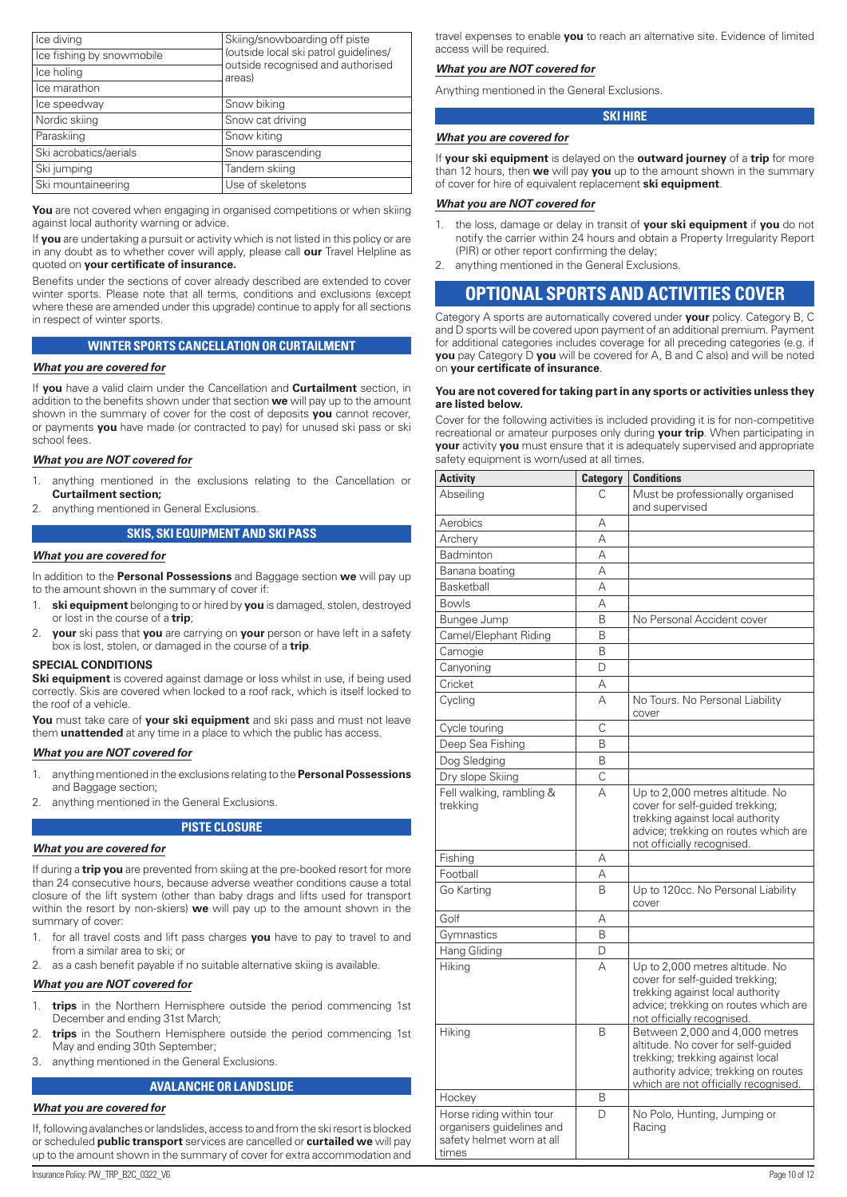| Ice diving                | Skiing/snowboarding off piste               |
|---------------------------|---------------------------------------------|
| Ice fishing by snowmobile | (outside local ski patrol guidelines/       |
| Ice holing                | outside recognised and authorised<br>areas) |
| Ice marathon              |                                             |
| Ice speedway              | Snow biking                                 |
| Nordic skiing             | Snow cat driving                            |
| Paraskiing                | Snow kiting                                 |
| Ski acrobatics/aerials    | Snow parascending                           |
| Ski jumping               | Tandem skiing                               |
| Ski mountaineering        | Use of skeletons                            |

You are not covered when engaging in organised competitions or when skiing against local authority warning or advice.

If **you** are undertaking a pursuit or activity which is not listed in this policy or are in any doubt as to whether cover will apply, please call **our** Travel Helpline as quoted on **your certificate of insurance.**

Benefits under the sections of cover already described are extended to cover winter sports. Please note that all terms, conditions and exclusions (except where these are amended under this upgrade) continue to apply for all sections in respect of winter sports.

#### **WINTER SPORTS CANCELLATION OR CURTAILMENT**

#### *What you are covered for*

If **you** have a valid claim under the Cancellation and **Curtailment** section, in addition to the benefits shown under that section **we** will pay up to the amount shown in the summary of cover for the cost of deposits **you** cannot recover, or payments **you** have made (or contracted to pay) for unused ski pass or ski school fees.

#### *What you are NOT covered for*

- 1. anything mentioned in the exclusions relating to the Cancellation or **Curtailment section;**
- 2. anything mentioned in General Exclusions.

#### **SKIS, SKI EQUIPMENT AND SKI PASS**

#### *What you are covered for*

In addition to the **Personal Possessions** and Baggage section **we** will pay up to the amount shown in the summary of cover if:

- 1. **ski equipment** belonging to or hired by **you** is damaged, stolen, destroyed or lost in the course of a **trip**;
- 2. **your** ski pass that **you** are carrying on **your** person or have left in a safety box is lost, stolen, or damaged in the course of a **trip**.

#### **SPECIAL CONDITIONS**

**Ski equipment** is covered against damage or loss whilst in use, if being used correctly. Skis are covered when locked to a roof rack, which is itself locked to the roof of a vehicle.

**You** must take care of **your ski equipment** and ski pass and must not leave them **unattended** at any time in a place to which the public has access.

#### *What you are NOT covered for*

- 1. anything mentioned in the exclusions relating to the **Personal Possessions**  and Baggage section;
- 2. anything mentioned in the General Exclusions.

#### **PISTE CLOSURE**

#### *What you are covered for*

If during a **trip you** are prevented from skiing at the pre-booked resort for more than 24 consecutive hours, because adverse weather conditions cause a total closure of the lift system (other than baby drags and lifts used for transport within the resort by non-skiers) **we** will pay up to the amount shown in the summary of cover:

- 1. for all travel costs and lift pass charges **you** have to pay to travel to and from a similar area to ski; or
- 2. as a cash benefit payable if no suitable alternative skiing is available.

#### *What you are NOT covered for*

- 1. **trips** in the Northern Hemisphere outside the period commencing 1st December and ending 31st March;
- trips in the Southern Hemisphere outside the period commencing 1st May and ending 30th September;
- 3. anything mentioned in the General Exclusions.

#### **AVALANCHE OR LANDSLIDE**

#### *What you are covered for*

If, following avalanches or landslides, access to and from the ski resort is blocked or scheduled **public transport** services are cancelled or **curtailed we** will pay up to the amount shown in the summary of cover for extra accommodation and

travel expenses to enable **you** to reach an alternative site. Evidence of limited access will be required.

#### *What you are NOT covered for*

Anything mentioned in the General Exclusions.

#### **SKI HIRE**

## *What you are covered for*

If **your ski equipment** is delayed on the **outward journey** of a **trip** for more than 12 hours, then **we** will pay **you** up to the amount shown in the summary of cover for hire of equivalent replacement **ski equipment**.

#### *What you are NOT covered for*

- 1. the loss, damage or delay in transit of **your ski equipment** if **you** do not notify the carrier within 24 hours and obtain a Property Irregularity Report (PIR) or other report confirming the delay;
- 2. anything mentioned in the General Exclusions.

# **OPTIONAL SPORTS AND ACTIVITIES COVER**

Category A sports are automatically covered under **your** policy. Category B, C and D sports will be covered upon payment of an additional premium. Payment for additional categories includes coverage for all preceding categories (e.g. if **you** pay Category D **you** will be covered for A, B and C also) and will be noted on **your certificate of insurance**.

#### **You are not covered for taking part in any sports or activities unless they are listed below.**

Cover for the following activities is included providing it is for non-competitive recreational or amateur purposes only during **your trip**. When participating in **your** activity **you** must ensure that it is adequately supervised and appropriate safety equipment is worn/used at all times.

| <b>Activity</b>                                                                             | <b>Category</b> | <b>Conditions</b>                                                                                                                                                                        |
|---------------------------------------------------------------------------------------------|-----------------|------------------------------------------------------------------------------------------------------------------------------------------------------------------------------------------|
| Abseilina                                                                                   | C               | Must be professionally organised<br>and supervised                                                                                                                                       |
| Aerobics                                                                                    | А               |                                                                                                                                                                                          |
| Archery                                                                                     | А               |                                                                                                                                                                                          |
| Badminton                                                                                   | А               |                                                                                                                                                                                          |
| Banana boating                                                                              | А               |                                                                                                                                                                                          |
| <b>Basketball</b>                                                                           | А               |                                                                                                                                                                                          |
| <b>Bowls</b>                                                                                | А               |                                                                                                                                                                                          |
| Bungee Jump                                                                                 | B               | No Personal Accident cover                                                                                                                                                               |
| Camel/Elephant Riding                                                                       | B               |                                                                                                                                                                                          |
| Camogie                                                                                     | B               |                                                                                                                                                                                          |
| Canyoning                                                                                   | D               |                                                                                                                                                                                          |
| Cricket                                                                                     | А               |                                                                                                                                                                                          |
| Cycling                                                                                     | А               | No Tours. No Personal Liability<br>cover                                                                                                                                                 |
| Cycle touring                                                                               | C               |                                                                                                                                                                                          |
| Deep Sea Fishing                                                                            | B               |                                                                                                                                                                                          |
| Dog Sledging                                                                                | B               |                                                                                                                                                                                          |
| Dry slope Skiing                                                                            | C               |                                                                                                                                                                                          |
| Fell walking, rambling &<br>trekkina                                                        | A               | Up to 2,000 metres altitude. No<br>cover for self-quided trekking;<br>trekking against local authority<br>advice; trekking on routes which are<br>not officially recognised.             |
| Fishing                                                                                     | А               |                                                                                                                                                                                          |
| Football                                                                                    | А               |                                                                                                                                                                                          |
| Go Karting                                                                                  | <sub>R</sub>    | Up to 120cc. No Personal Liability<br>cover                                                                                                                                              |
| Golf                                                                                        | А               |                                                                                                                                                                                          |
| Gymnastics                                                                                  | B               |                                                                                                                                                                                          |
| Hang Gliding                                                                                | D               |                                                                                                                                                                                          |
| Hiking                                                                                      | A               | Up to 2,000 metres altitude. No<br>cover for self-guided trekking;<br>trekking against local authority<br>advice; trekking on routes which are<br>not officially recognised.             |
| Hiking                                                                                      | <sub>R</sub>    | Between 2,000 and 4,000 metres<br>altitude. No cover for self-quided<br>trekking; trekking against local<br>authority advice; trekking on routes<br>which are not officially recognised. |
| Hockey                                                                                      | B               |                                                                                                                                                                                          |
| Horse riding within tour<br>organisers guidelines and<br>safety helmet worn at all<br>times | D               | No Polo, Hunting, Jumping or<br>Racing                                                                                                                                                   |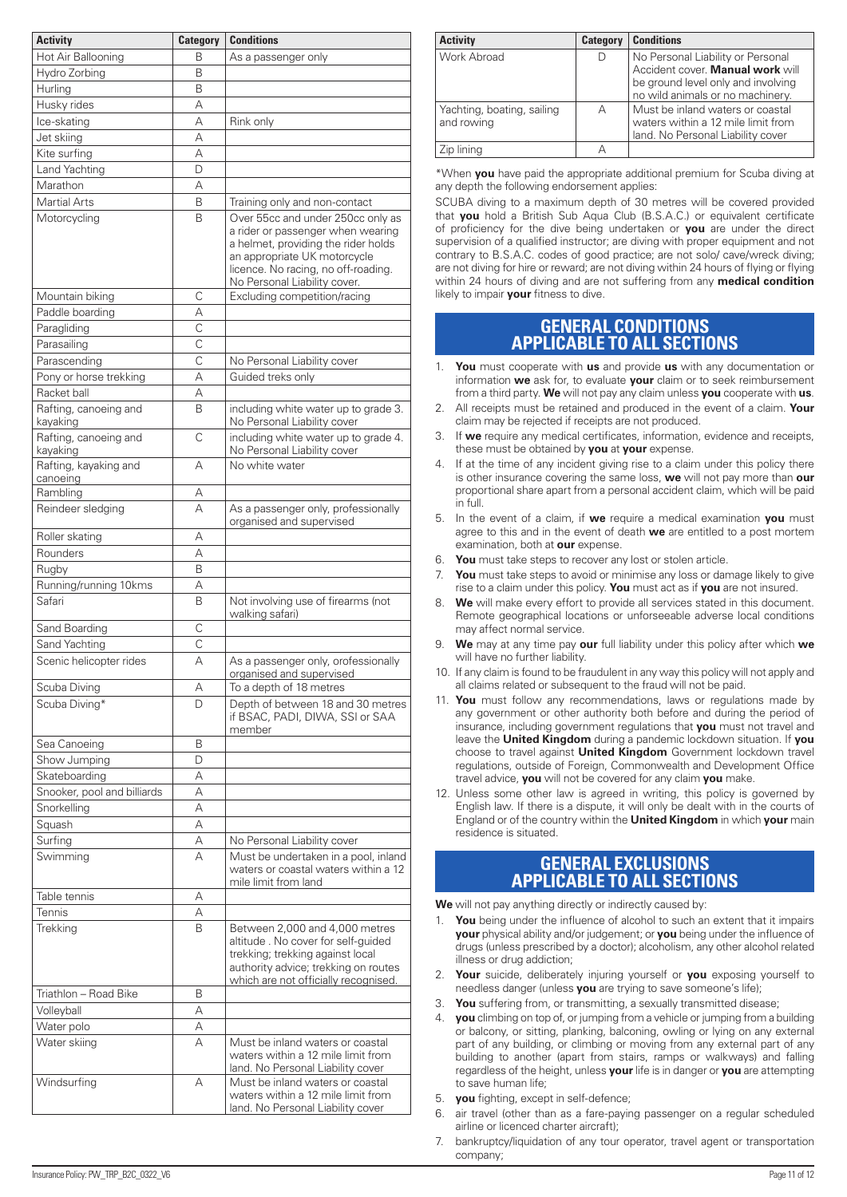| <b>Activity</b>                   | <b>Category</b>    | <b>Conditions</b>                                                                                                                                                                                                    |
|-----------------------------------|--------------------|----------------------------------------------------------------------------------------------------------------------------------------------------------------------------------------------------------------------|
| Hot Air Ballooning                | В                  | As a passenger only                                                                                                                                                                                                  |
| Hydro Zorbing                     | B                  |                                                                                                                                                                                                                      |
| Hurling                           | B                  |                                                                                                                                                                                                                      |
| Husky rides                       | A                  |                                                                                                                                                                                                                      |
| Ice-skating                       | A                  | Rink only                                                                                                                                                                                                            |
| Jet skiing                        | А                  |                                                                                                                                                                                                                      |
| Kite surfing                      | А                  |                                                                                                                                                                                                                      |
| Land Yachting                     | D                  |                                                                                                                                                                                                                      |
| Marathon                          | А                  |                                                                                                                                                                                                                      |
| <b>Martial Arts</b>               | B                  | Training only and non-contact                                                                                                                                                                                        |
| Motorcycling                      | B                  | Over 55cc and under 250cc only as<br>a rider or passenger when wearing<br>a helmet, providing the rider holds<br>an appropriate UK motorcycle<br>licence. No racing, no off-roading.<br>No Personal Liability cover. |
| Mountain biking                   | C                  | Excluding competition/racing                                                                                                                                                                                         |
| Paddle boarding                   | А                  |                                                                                                                                                                                                                      |
| Paragliding                       | $\overline{\rm c}$ |                                                                                                                                                                                                                      |
| Parasailing                       | C                  |                                                                                                                                                                                                                      |
| Parascending                      | C                  | No Personal Liability cover                                                                                                                                                                                          |
| Pony or horse trekking            | А                  | Guided treks only                                                                                                                                                                                                    |
| Racket ball                       | А                  |                                                                                                                                                                                                                      |
| Rafting, canoeing and<br>kayaking | B                  | including white water up to grade 3.<br>No Personal Liability cover                                                                                                                                                  |
| Rafting, canoeing and<br>kayaking | C                  | including white water up to grade 4.<br>No Personal Liability cover                                                                                                                                                  |
| Rafting, kayaking and<br>canoeing | А                  | No white water                                                                                                                                                                                                       |
| Rambling                          | А                  |                                                                                                                                                                                                                      |
| Reindeer sledging                 | A                  | As a passenger only, professionally<br>organised and supervised                                                                                                                                                      |
| Roller skating                    | А                  |                                                                                                                                                                                                                      |
| Rounders                          | А                  |                                                                                                                                                                                                                      |
| Rugby                             | B                  |                                                                                                                                                                                                                      |
| Running/running 10kms             | А                  |                                                                                                                                                                                                                      |
| Safari                            | B                  | Not involving use of firearms (not<br>walking safari)                                                                                                                                                                |
| Sand Boarding                     | C                  |                                                                                                                                                                                                                      |
| Sand Yachting                     | C                  |                                                                                                                                                                                                                      |
| Scenic helicopter rides           | A                  | As a passenger only, orofessionally<br>organised and supervised                                                                                                                                                      |
| Scuba Diving<br>Scuba Diving*     | А<br>D             | To a depth of 18 metres<br>Depth of between 18 and 30 metres<br>if BSAC, PADI, DIWA, SSI or SAA<br>member                                                                                                            |
| Sea Canoeing                      | B                  |                                                                                                                                                                                                                      |
| Show Jumping                      | D                  |                                                                                                                                                                                                                      |
| Skateboarding                     | А                  |                                                                                                                                                                                                                      |
| Snooker, pool and billiards       | А                  |                                                                                                                                                                                                                      |
| Snorkelling                       | А                  |                                                                                                                                                                                                                      |
| Squash                            | А                  |                                                                                                                                                                                                                      |
| Surfing                           | А                  | No Personal Liability cover                                                                                                                                                                                          |
| Swimming                          | А                  | Must be undertaken in a pool, inland<br>waters or coastal waters within a 12<br>mile limit from land                                                                                                                 |
| Table tennis                      | А                  |                                                                                                                                                                                                                      |
| Tennis                            | А                  |                                                                                                                                                                                                                      |
| Trekking                          | B                  | Between 2,000 and 4,000 metres<br>altitude. No cover for self-guided<br>trekking; trekking against local<br>authority advice; trekking on routes<br>which are not officially recognised.                             |
| Triathlon - Road Bike             | B                  |                                                                                                                                                                                                                      |
| Volleyball<br>Water polo          | А<br>А             |                                                                                                                                                                                                                      |
| Water skiing                      | А                  | Must be inland waters or coastal<br>waters within a 12 mile limit from<br>land. No Personal Liability cover                                                                                                          |
| Windsurfing                       | А                  | Must be inland waters or coastal<br>waters within a 12 mile limit from<br>land. No Personal Liability cover                                                                                                          |

| <b>Activity</b>                          | <b>Category</b> | <b>Conditions</b>                                                                                                                               |
|------------------------------------------|-----------------|-------------------------------------------------------------------------------------------------------------------------------------------------|
| Work Abroad                              |                 | No Personal Liability or Personal<br>Accident cover. Manual work will<br>be ground level only and involving<br>no wild animals or no machinery. |
| Yachting, boating, sailing<br>and rowing | А               | Must be inland waters or coastal<br>waters within a 12 mile limit from<br>land. No Personal Liability cover                                     |
| Zip lining                               |                 |                                                                                                                                                 |

\*When **you** have paid the appropriate additional premium for Scuba diving at any depth the following endorsement applies:

SCUBA diving to a maximum depth of 30 metres will be covered provided that **you** hold a British Sub Aqua Club (B.S.A.C.) or equivalent certificate of proficiency for the dive being undertaken or **you** are under the direct supervision of a qualified instructor; are diving with proper equipment and not contrary to B.S.A.C. codes of good practice; are not solo/ cave/wreck diving; are not diving for hire or reward; are not diving within 24 hours of flying or flying within 24 hours of diving and are not suffering from any **medical condition** likely to impair **your** fitness to dive.

# **GENERAL CONDITIONS APPLICABLE TO ALL SECTIONS**

- 1. **You** must cooperate with **us** and provide **us** with any documentation or information **we** ask for, to evaluate **your** claim or to seek reimbursement from a third party. **We** will not pay any claim unless **you** cooperate with **us**.
- 2. All receipts must be retained and produced in the event of a claim. **Your** claim may be rejected if receipts are not produced.
- 3. If **we** require any medical certificates, information, evidence and receipts, these must be obtained by **you** at **your** expense.
- 4. If at the time of any incident giving rise to a claim under this policy there is other insurance covering the same loss, **we** will not pay more than **our** proportional share apart from a personal accident claim, which will be paid in full.
- 5. In the event of a claim, if **we** require a medical examination **you** must agree to this and in the event of death **we** are entitled to a post mortem examination, both at **our** expense.
- 6. **You** must take steps to recover any lost or stolen article.
- 7. **You** must take steps to avoid or minimise any loss or damage likely to give rise to a claim under this policy. **You** must act as if **you** are not insured.
- 8. **We** will make every effort to provide all services stated in this document. Remote geographical locations or unforseeable adverse local conditions may affect normal service.
- 9. **We** may at any time pay **our** full liability under this policy after which **we** will have no further liability.
- 10. If any claim is found to be fraudulent in any way this policy will not apply and all claims related or subsequent to the fraud will not be paid.
- 11. **You** must follow any recommendations, laws or regulations made by any government or other authority both before and during the period of insurance, including government regulations that **you** must not travel and leave the **United Kingdom** during a pandemic lockdown situation. If **you** choose to travel against **United Kingdom** Government lockdown travel regulations, outside of Foreign, Commonwealth and Development Office travel advice, **you** will not be covered for any claim **you** make.
- 12. Unless some other law is agreed in writing, this policy is governed by English law. If there is a dispute, it will only be dealt with in the courts of England or of the country within the **United Kingdom** in which **your** main residence is situated.

# **GENERAL EXCLUSIONS APPLICABLE TO ALL SECTIONS**

**We** will not pay anything directly or indirectly caused by:

- 1. **You** being under the influence of alcohol to such an extent that it impairs **your** physical ability and/or judgement; or **you** being under the influence of drugs (unless prescribed by a doctor); alcoholism, any other alcohol related illness or drug addiction;
- 2. **Your** suicide, deliberately injuring yourself or **you** exposing yourself to needless danger (unless **you** are trying to save someone's life);
- 3. **You** suffering from, or transmitting, a sexually transmitted disease;
- 4. **you** climbing on top of, or jumping from a vehicle or jumping from a building or balcony, or sitting, planking, balconing, owling or lying on any external part of any building, or climbing or moving from any external part of any building to another (apart from stairs, ramps or walkways) and falling regardless of the height, unless **your** life is in danger or **you** are attempting to save human life;
- 5. **you** fighting, except in self-defence;
- air travel (other than as a fare-paying passenger on a regular scheduled airline or licenced charter aircraft);
- 7. bankruptcy/liquidation of any tour operator, travel agent or transportation company;